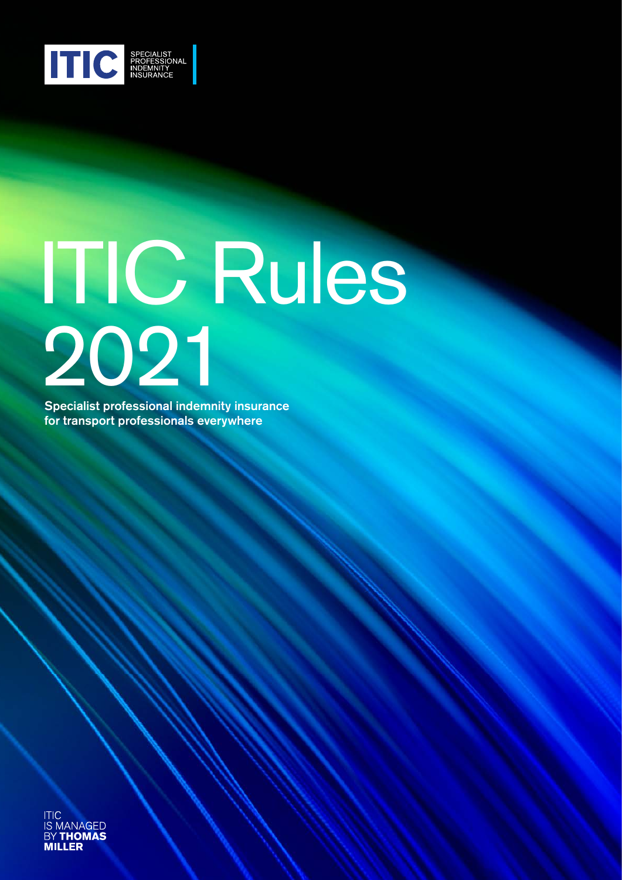

# ITIC Rules 2021

Specialist professional indemnity insurance for transport professionals everywhere

ITIC<br>IS MANAGED **BY THOMAS** International Transport Intermediaries Club Limited **Rules 2021** 1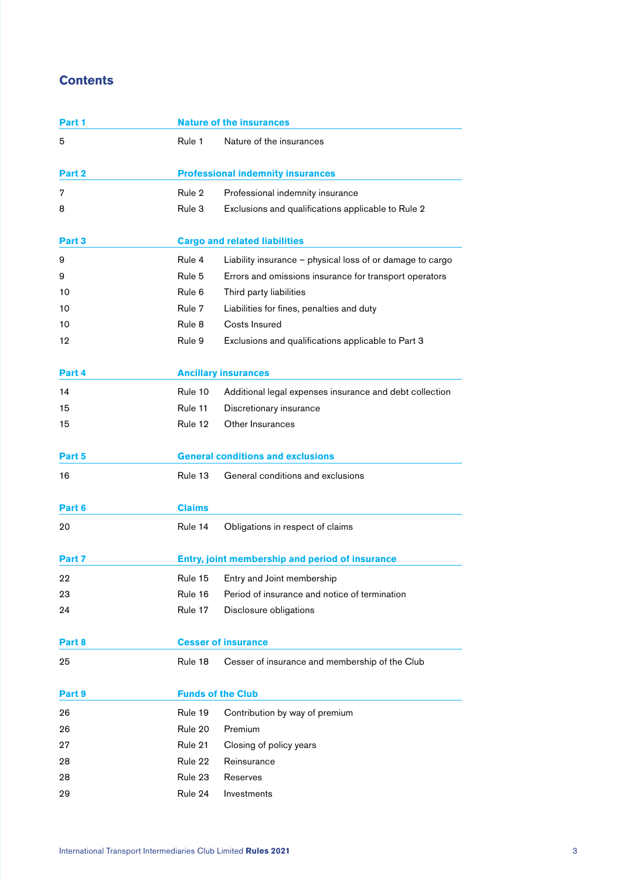#### **Contents**

| Part 1 |                          | <b>Nature of the insurances</b>                           |
|--------|--------------------------|-----------------------------------------------------------|
| 5      | Rule 1                   | Nature of the insurances                                  |
| Part 2 |                          | <b>Professional indemnity insurances</b>                  |
| 7      | Rule 2                   | Professional indemnity insurance                          |
| 8      | Rule 3                   | Exclusions and qualifications applicable to Rule 2        |
| Part 3 |                          | <b>Cargo and related liabilities</b>                      |
| 9      | Rule 4                   | Liability insurance - physical loss of or damage to cargo |
| 9      | Rule 5                   | Errors and omissions insurance for transport operators    |
| 10     | Rule 6                   | Third party liabilities                                   |
| 10     | Rule 7                   | Liabilities for fines, penalties and duty                 |
| 10     | Rule 8                   | Costs Insured                                             |
| 12     | Rule 9                   | Exclusions and qualifications applicable to Part 3        |
| Part 4 |                          | <b>Ancillary insurances</b>                               |
| 14     | Rule 10                  | Additional legal expenses insurance and debt collection   |
| 15     | Rule 11                  | Discretionary insurance                                   |
| 15     | Rule 12                  | Other Insurances                                          |
| Part 5 |                          | <b>General conditions and exclusions</b>                  |
| 16     | Rule 13                  | General conditions and exclusions                         |
| Part 6 | <b>Claims</b>            |                                                           |
| 20     | Rule 14                  | Obligations in respect of claims                          |
| Part 7 |                          | Entry, joint membership and period of insurance           |
| 22     | Rule 15                  | Entry and Joint membership                                |
| 23     | Rule 16                  | Period of insurance and notice of termination             |
| 24     | Rule 17                  | Disclosure obligations                                    |
| Part 8 |                          | <b>Cesser of insurance</b>                                |
| 25     | Rule 18                  | Cesser of insurance and membership of the Club            |
| Part 9 | <b>Funds of the Club</b> |                                                           |
| 26     | Rule 19                  | Contribution by way of premium                            |
| 26     | Rule 20                  | Premium                                                   |
| 27     | Rule 21                  | Closing of policy years                                   |
| 28     | Rule 22                  | Reinsurance                                               |
| 28     | Rule 23                  | Reserves                                                  |
| 29     | Rule 24                  | Investments                                               |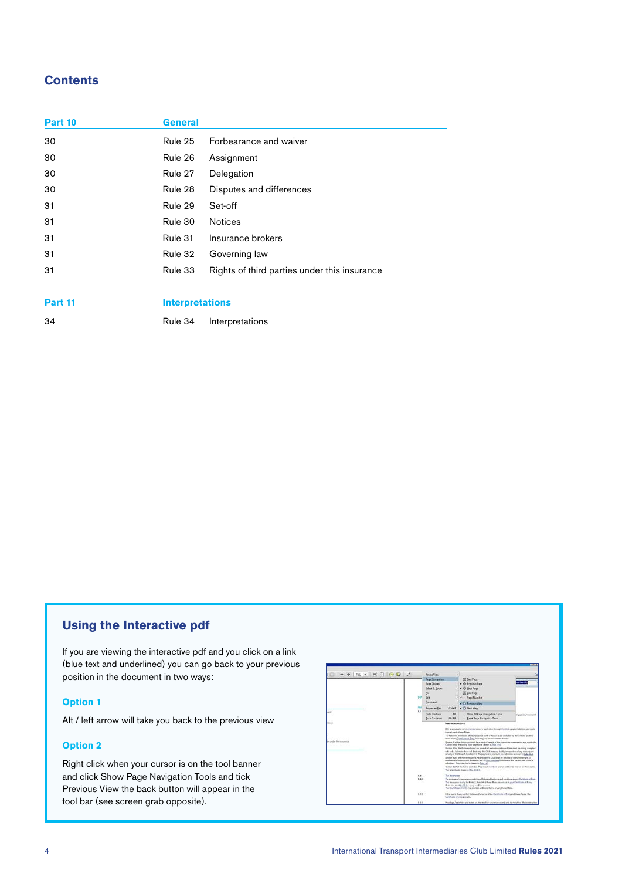#### **Contents**

| Part 10 | <b>General</b>         |                                              |
|---------|------------------------|----------------------------------------------|
| 30      | Rule 25                | Forbearance and waiver                       |
| 30      | Rule 26                | Assignment                                   |
| 30      | Rule 27                | Delegation                                   |
| 30      | Rule 28                | Disputes and differences                     |
| 31      | Rule 29                | Set-off                                      |
| 31      | Rule 30                | <b>Notices</b>                               |
| 31      | Rule 31                | Insurance brokers                            |
| 31      | Rule 32                | Governing law                                |
| 31      | Rule 33                | Rights of third parties under this insurance |
|         |                        |                                              |
| Part 11 | <b>Interpretations</b> |                                              |
| 34      | Rule 34                | Interpretations                              |

#### **Using the Interactive pdf**

If you are viewing the interactive pdf and you click on a link (blue text and underlined) you can go back to your previous position in the document in two ways:

#### **Option 1**

Alt / left arrow will take you back to the previous view

#### **Option 2**

Right click when your cursor is on the tool banner and click Show Page Navigation Tools and tick Previous View the back button will appear in the tool bar (see screen grab opposite).

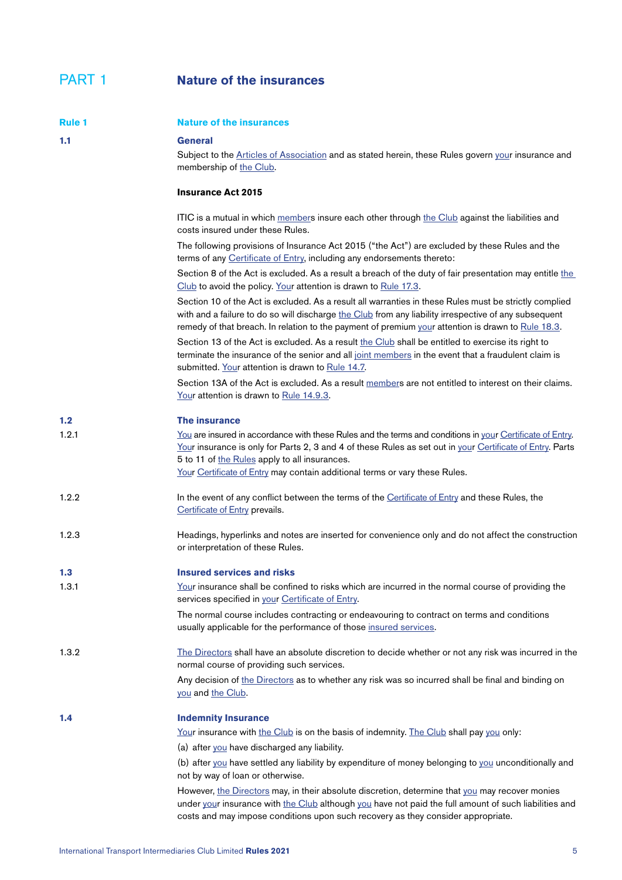#### <span id="page-4-0"></span>PART 1 **Nature of the insurances**

<span id="page-4-3"></span><span id="page-4-2"></span><span id="page-4-1"></span>

| <b>Rule 1</b> | <b>Nature of the insurances</b>                                                                                                                                                                                                                                                                                                                        |
|---------------|--------------------------------------------------------------------------------------------------------------------------------------------------------------------------------------------------------------------------------------------------------------------------------------------------------------------------------------------------------|
| 1.1           | <b>General</b><br>Subject to the Articles of Association and as stated herein, these Rules govern your insurance and<br>membership of the Club.                                                                                                                                                                                                        |
|               | <b>Insurance Act 2015</b>                                                                                                                                                                                                                                                                                                                              |
|               | ITIC is a mutual in which members insure each other through the Club against the liabilities and<br>costs insured under these Rules.                                                                                                                                                                                                                   |
|               | The following provisions of Insurance Act 2015 ("the Act") are excluded by these Rules and the<br>terms of any Certificate of Entry, including any endorsements thereto:                                                                                                                                                                               |
|               | Section 8 of the Act is excluded. As a result a breach of the duty of fair presentation may entitle the<br>Club to avoid the policy. Your attention is drawn to Rule 17.3.                                                                                                                                                                             |
|               | Section 10 of the Act is excluded. As a result all warranties in these Rules must be strictly complied<br>with and a failure to do so will discharge the Club from any liability irrespective of any subsequent<br>remedy of that breach. In relation to the payment of premium your attention is drawn to Rule 18.3.                                  |
|               | Section 13 of the Act is excluded. As a result the Club shall be entitled to exercise its right to<br>terminate the insurance of the senior and all joint members in the event that a fraudulent claim is<br>submitted. Your attention is drawn to Rule 14.7.                                                                                          |
|               | Section 13A of the Act is excluded. As a result members are not entitled to interest on their claims.<br>Your attention is drawn to Rule 14.9.3.                                                                                                                                                                                                       |
| 1.2           | The insurance                                                                                                                                                                                                                                                                                                                                          |
| 1.2.1         | You are insured in accordance with these Rules and the terms and conditions in your Certificate of Entry.<br>Your insurance is only for Parts 2, 3 and 4 of these Rules as set out in your Certificate of Entry. Parts<br>5 to 11 of the Rules apply to all insurances.<br>Your Certificate of Entry may contain additional terms or vary these Rules. |
| 1.2.2         | In the event of any conflict between the terms of the Certificate of Entry and these Rules, the<br>Certificate of Entry prevails.                                                                                                                                                                                                                      |
| 1.2.3         | Headings, hyperlinks and notes are inserted for convenience only and do not affect the construction<br>or interpretation of these Rules.                                                                                                                                                                                                               |
| 1.3           | <b>Insured services and risks</b>                                                                                                                                                                                                                                                                                                                      |
| 1.3.1         | Your insurance shall be confined to risks which are incurred in the normal course of providing the<br>services specified in your Certificate of Entry.                                                                                                                                                                                                 |
|               | The normal course includes contracting or endeavouring to contract on terms and conditions<br>usually applicable for the performance of those insured services.                                                                                                                                                                                        |
| 1.3.2         | The Directors shall have an absolute discretion to decide whether or not any risk was incurred in the<br>normal course of providing such services.                                                                                                                                                                                                     |
|               | Any decision of the Directors as to whether any risk was so incurred shall be final and binding on<br>you and the Club.                                                                                                                                                                                                                                |
| 1.4           | <b>Indemnity Insurance</b>                                                                                                                                                                                                                                                                                                                             |
|               | Your insurance with the Club is on the basis of indemnity. The Club shall pay you only:                                                                                                                                                                                                                                                                |
|               | (a) after you have discharged any liability.                                                                                                                                                                                                                                                                                                           |
|               | (b) after you have settled any liability by expenditure of money belonging to you unconditionally and<br>not by way of loan or otherwise.                                                                                                                                                                                                              |
|               | However, the Directors may, in their absolute discretion, determine that you may recover monies<br>under your insurance with the Club although you have not paid the full amount of such liabilities and<br>costs and may impose conditions upon such recovery as they consider appropriate.                                                           |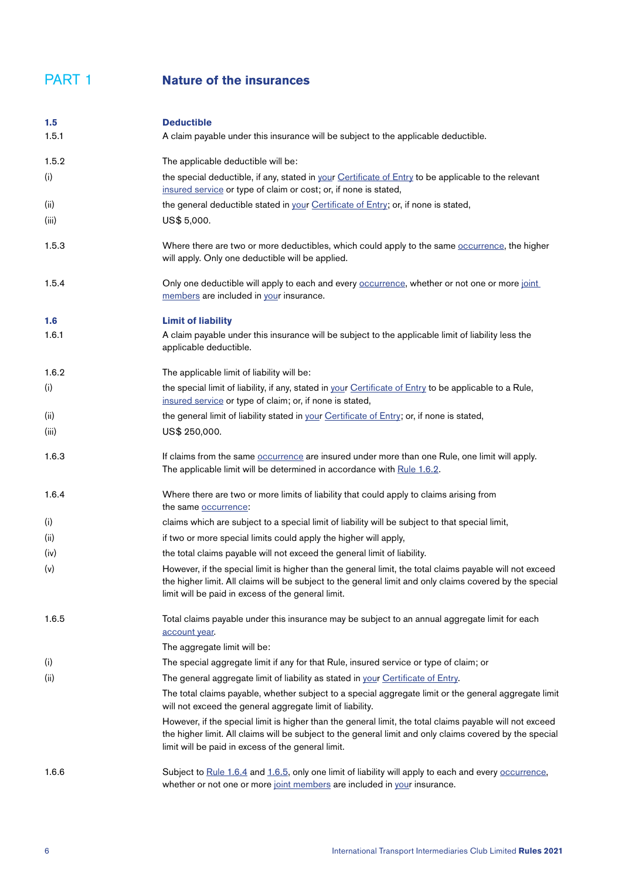#### PART 1 **Nature of the insurances**

<span id="page-5-2"></span><span id="page-5-1"></span><span id="page-5-0"></span>

| 1.5   | <b>Deductible</b>                                                                                                                                                                                                                                                          |
|-------|----------------------------------------------------------------------------------------------------------------------------------------------------------------------------------------------------------------------------------------------------------------------------|
| 1.5.1 | A claim payable under this insurance will be subject to the applicable deductible.                                                                                                                                                                                         |
| 1.5.2 | The applicable deductible will be:                                                                                                                                                                                                                                         |
| (i)   | the special deductible, if any, stated in your Certificate of Entry to be applicable to the relevant<br>insured service or type of claim or cost; or, if none is stated,                                                                                                   |
| (ii)  | the general deductible stated in your Certificate of Entry; or, if none is stated,                                                                                                                                                                                         |
| (iii) | US\$ 5,000.                                                                                                                                                                                                                                                                |
| 1.5.3 | Where there are two or more deductibles, which could apply to the same <b>occurrence</b> , the higher<br>will apply. Only one deductible will be applied.                                                                                                                  |
| 1.5.4 | Only one deductible will apply to each and every <b>occurrence</b> , whether or not one or more joint<br>members are included in your insurance.                                                                                                                           |
| 1.6   | <b>Limit of liability</b>                                                                                                                                                                                                                                                  |
| 1.6.1 | A claim payable under this insurance will be subject to the applicable limit of liability less the<br>applicable deductible.                                                                                                                                               |
| 1.6.2 | The applicable limit of liability will be:                                                                                                                                                                                                                                 |
| (i)   | the special limit of liability, if any, stated in your Certificate of Entry to be applicable to a Rule,<br>insured service or type of claim; or, if none is stated,                                                                                                        |
| (ii)  | the general limit of liability stated in your Certificate of Entry; or, if none is stated,                                                                                                                                                                                 |
| (iii) | US\$ 250,000.                                                                                                                                                                                                                                                              |
| 1.6.3 | If claims from the same <b>occurrence</b> are insured under more than one Rule, one limit will apply.<br>The applicable limit will be determined in accordance with Rule 1.6.2.                                                                                            |
| 1.6.4 | Where there are two or more limits of liability that could apply to claims arising from<br>the same occurrence:                                                                                                                                                            |
| (i)   | claims which are subject to a special limit of liability will be subject to that special limit,                                                                                                                                                                            |
| (ii)  | if two or more special limits could apply the higher will apply,                                                                                                                                                                                                           |
| (iv)  | the total claims payable will not exceed the general limit of liability.                                                                                                                                                                                                   |
| (v)   | However, if the special limit is higher than the general limit, the total claims payable will not exceed<br>the higher limit. All claims will be subject to the general limit and only claims covered by the special<br>limit will be paid in excess of the general limit. |
| 1.6.5 | Total claims payable under this insurance may be subject to an annual aggregate limit for each<br>account year.                                                                                                                                                            |
|       | The aggregate limit will be:                                                                                                                                                                                                                                               |
| (i)   | The special aggregate limit if any for that Rule, insured service or type of claim; or                                                                                                                                                                                     |
| (ii)  | The general aggregate limit of liability as stated in your Certificate of Entry.                                                                                                                                                                                           |
|       | The total claims payable, whether subject to a special aggregate limit or the general aggregate limit<br>will not exceed the general aggregate limit of liability.                                                                                                         |
|       | However, if the special limit is higher than the general limit, the total claims payable will not exceed<br>the higher limit. All claims will be subject to the general limit and only claims covered by the special<br>limit will be paid in excess of the general limit. |
| 1.6.6 | Subject to Rule 1.6.4 and 1.6.5, only one limit of liability will apply to each and every occurrence,<br>whether or not one or more joint members are included in your insurance.                                                                                          |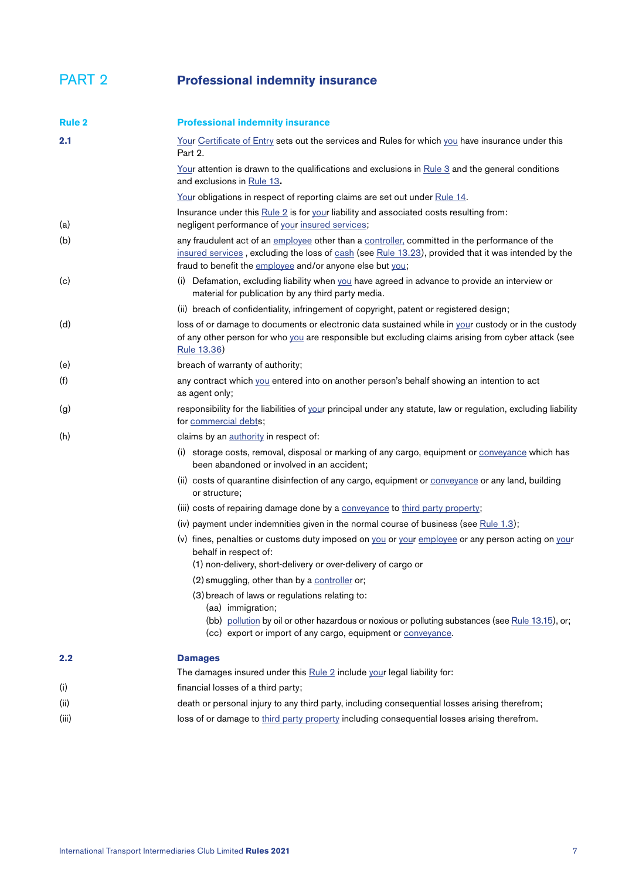#### <span id="page-6-0"></span>PART 2 **Professional indemnity insurance**

<span id="page-6-6"></span><span id="page-6-5"></span><span id="page-6-4"></span><span id="page-6-3"></span><span id="page-6-2"></span><span id="page-6-1"></span>

| <b>Rule 2</b> | <b>Professional indemnity insurance</b>                                                                                                                                                                                                                            |
|---------------|--------------------------------------------------------------------------------------------------------------------------------------------------------------------------------------------------------------------------------------------------------------------|
| 2.1           | Your Certificate of Entry sets out the services and Rules for which you have insurance under this<br>Part 2.                                                                                                                                                       |
|               | <u>Your</u> attention is drawn to the qualifications and exclusions in $\frac{Rule 3}{2}$ and the general conditions<br>and exclusions in Rule 13.                                                                                                                 |
|               | Your obligations in respect of reporting claims are set out under Rule 14.                                                                                                                                                                                         |
| (a)           | Insurance under this Rule 2 is for your liability and associated costs resulting from:<br>negligent performance of your insured services;                                                                                                                          |
| (b)           | any fraudulent act of an employee other than a controller, committed in the performance of the<br>insured services, excluding the loss of cash (see Rule 13.23), provided that it was intended by the<br>fraud to benefit the employee and/or anyone else but you; |
| (c)           | (i) Defamation, excluding liability when you have agreed in advance to provide an interview or<br>material for publication by any third party media.                                                                                                               |
|               | (ii) breach of confidentiality, infringement of copyright, patent or registered design;                                                                                                                                                                            |
| (d)           | loss of or damage to documents or electronic data sustained while in your custody or in the custody<br>of any other person for who you are responsible but excluding claims arising from cyber attack (see<br>Rule 13.36)                                          |
| (e)           | breach of warranty of authority;                                                                                                                                                                                                                                   |
| (f)           | any contract which you entered into on another person's behalf showing an intention to act<br>as agent only;                                                                                                                                                       |
| (g)           | responsibility for the liabilities of your principal under any statute, law or regulation, excluding liability<br>for commercial debts;                                                                                                                            |
| (h)           | claims by an authority in respect of:                                                                                                                                                                                                                              |
|               | (i) storage costs, removal, disposal or marking of any cargo, equipment or conveyance which has<br>been abandoned or involved in an accident;                                                                                                                      |
|               | (ii) costs of quarantine disinfection of any cargo, equipment or conveyance or any land, building<br>or structure;                                                                                                                                                 |
|               | (iii) costs of repairing damage done by a conveyance to third party property;                                                                                                                                                                                      |
|               | (iv) payment under indemnities given in the normal course of business (see Rule 1.3);                                                                                                                                                                              |
|               | (v) fines, penalties or customs duty imposed on you or your employee or any person acting on your<br>behalf in respect of:                                                                                                                                         |
|               | (1) non-delivery, short-delivery or over-delivery of cargo or                                                                                                                                                                                                      |
|               | (2) smuggling, other than by a controller or;                                                                                                                                                                                                                      |
|               | (3) breach of laws or regulations relating to:<br>(aa) immigration;                                                                                                                                                                                                |
|               | (bb) pollution by oil or other hazardous or noxious or polluting substances (see Rule 13.15), or;<br>(cc) export or import of any cargo, equipment or conveyance.                                                                                                  |
| 2.2           | <b>Damages</b>                                                                                                                                                                                                                                                     |
|               | The damages insured under this Rule 2 include your legal liability for:                                                                                                                                                                                            |
| (i)           | financial losses of a third party;                                                                                                                                                                                                                                 |
| (ii)          | death or personal injury to any third party, including consequential losses arising therefrom;                                                                                                                                                                     |
| (iii)         | loss of or damage to third party property including consequential losses arising therefrom.                                                                                                                                                                        |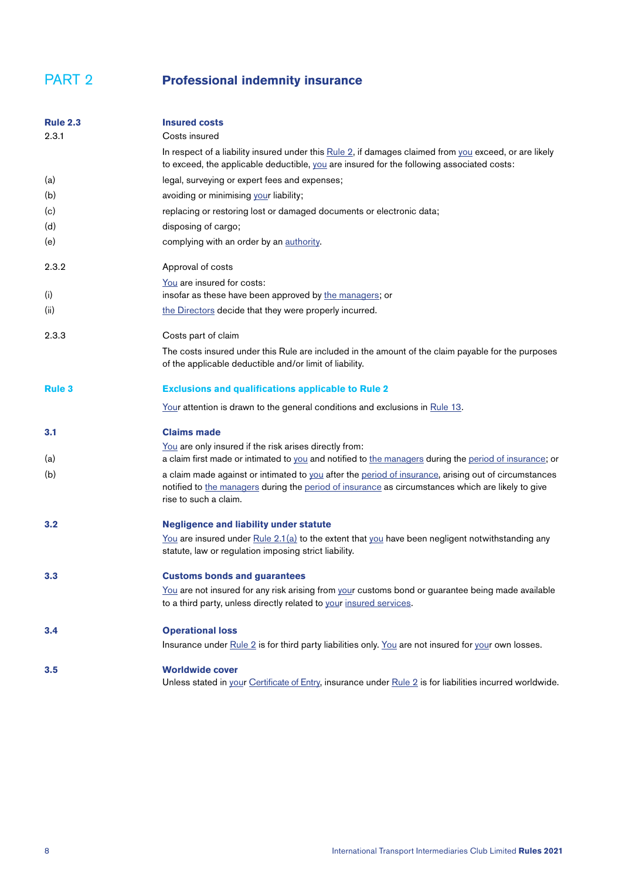#### PART 2 **Professional indemnity insurance**

<span id="page-7-0"></span>

| <b>Rule 2.3</b> | <b>Insured costs</b>                                                                                                                                                                                                               |
|-----------------|------------------------------------------------------------------------------------------------------------------------------------------------------------------------------------------------------------------------------------|
| 2.3.1           | Costs insured                                                                                                                                                                                                                      |
|                 | In respect of a liability insured under this $Rule 2$ , if damages claimed from you exceed, or are likely<br>to exceed, the applicable deductible, you are insured for the following associated costs:                             |
| (a)             | legal, surveying or expert fees and expenses;                                                                                                                                                                                      |
| (b)             | avoiding or minimising your liability;                                                                                                                                                                                             |
| (c)             | replacing or restoring lost or damaged documents or electronic data;                                                                                                                                                               |
| (d)             | disposing of cargo;                                                                                                                                                                                                                |
| (e)             | complying with an order by an authority.                                                                                                                                                                                           |
| 2.3.2           | Approval of costs                                                                                                                                                                                                                  |
|                 | You are insured for costs:                                                                                                                                                                                                         |
| (i)             | insofar as these have been approved by the managers; or                                                                                                                                                                            |
| (ii)            | the Directors decide that they were properly incurred.                                                                                                                                                                             |
| 2.3.3           | Costs part of claim                                                                                                                                                                                                                |
|                 | The costs insured under this Rule are included in the amount of the claim payable for the purposes<br>of the applicable deductible and/or limit of liability.                                                                      |
| <b>Rule 3</b>   | <b>Exclusions and qualifications applicable to Rule 2</b>                                                                                                                                                                          |
|                 | Your attention is drawn to the general conditions and exclusions in Rule 13.                                                                                                                                                       |
| 3.1             | <b>Claims made</b>                                                                                                                                                                                                                 |
| (a)             | You are only insured if the risk arises directly from:<br>a claim first made or intimated to you and notified to the managers during the period of insurance; or                                                                   |
| (b)             | a claim made against or intimated to you after the period of insurance, arising out of circumstances<br>notified to the managers during the period of insurance as circumstances which are likely to give<br>rise to such a claim. |
| 3.2             | <b>Negligence and liability under statute</b>                                                                                                                                                                                      |
|                 | You are insured under Rule $2.1(a)$ to the extent that you have been negligent notwithstanding any<br>statute, law or regulation imposing strict liability.                                                                        |
| 3.3             | <b>Customs bonds and guarantees</b>                                                                                                                                                                                                |
|                 | You are not insured for any risk arising from your customs bond or guarantee being made available<br>to a third party, unless directly related to your insured services.                                                           |
| 3.4             | <b>Operational loss</b>                                                                                                                                                                                                            |
|                 | Insurance under Rule 2 is for third party liabilities only. You are not insured for your own losses.                                                                                                                               |
| 3.5             | <b>Worldwide cover</b><br>Unless stated in your Certificate of Entry, insurance under Rule 2 is for liabilities incurred worldwide.                                                                                                |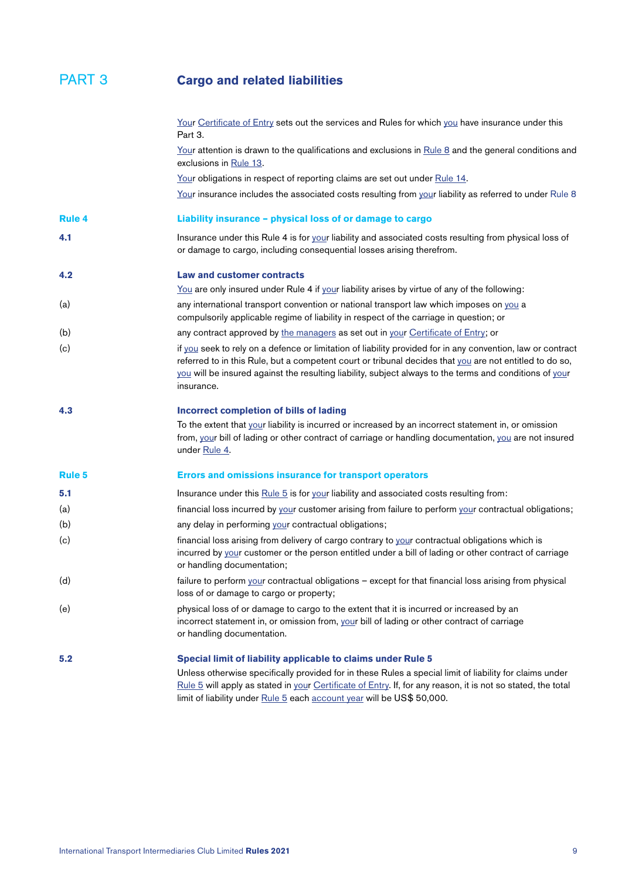<span id="page-8-2"></span><span id="page-8-1"></span><span id="page-8-0"></span>

|               | Your Certificate of Entry sets out the services and Rules for which you have insurance under this<br>Part 3.                                                                                                                                                                                                                                                      |
|---------------|-------------------------------------------------------------------------------------------------------------------------------------------------------------------------------------------------------------------------------------------------------------------------------------------------------------------------------------------------------------------|
|               | Your attention is drawn to the qualifications and exclusions in Rule 8 and the general conditions and<br>exclusions in Rule 13.                                                                                                                                                                                                                                   |
|               | Your obligations in respect of reporting claims are set out under Rule 14.                                                                                                                                                                                                                                                                                        |
|               | Your insurance includes the associated costs resulting from your liability as referred to under Rule 8                                                                                                                                                                                                                                                            |
| <b>Rule 4</b> | Liability insurance - physical loss of or damage to cargo                                                                                                                                                                                                                                                                                                         |
| 4.1           | Insurance under this Rule 4 is for your liability and associated costs resulting from physical loss of<br>or damage to cargo, including consequential losses arising therefrom.                                                                                                                                                                                   |
| 4.2           | <b>Law and customer contracts</b>                                                                                                                                                                                                                                                                                                                                 |
|               | You are only insured under Rule 4 if your liability arises by virtue of any of the following:                                                                                                                                                                                                                                                                     |
| (a)           | any international transport convention or national transport law which imposes on you a<br>compulsorily applicable regime of liability in respect of the carriage in question; or                                                                                                                                                                                 |
| (b)           | any contract approved by the managers as set out in your Certificate of Entry; or                                                                                                                                                                                                                                                                                 |
| (c)           | if you seek to rely on a defence or limitation of liability provided for in any convention, law or contract<br>referred to in this Rule, but a competent court or tribunal decides that you are not entitled to do so,<br>you will be insured against the resulting liability, subject always to the terms and conditions of your<br>insurance.                   |
| 4.3           | Incorrect completion of bills of lading                                                                                                                                                                                                                                                                                                                           |
|               | To the extent that your liability is incurred or increased by an incorrect statement in, or omission<br>from, your bill of lading or other contract of carriage or handling documentation, you are not insured<br>under Rule 4.                                                                                                                                   |
| <b>Rule 5</b> | <b>Errors and omissions insurance for transport operators</b>                                                                                                                                                                                                                                                                                                     |
| 5.1           | Insurance under this Rule 5 is for your liability and associated costs resulting from:                                                                                                                                                                                                                                                                            |
| (a)           | financial loss incurred by your customer arising from failure to perform your contractual obligations;                                                                                                                                                                                                                                                            |
| (b)           | any delay in performing your contractual obligations;                                                                                                                                                                                                                                                                                                             |
| (c)           | financial loss arising from delivery of cargo contrary to your contractual obligations which is<br>incurred by your customer or the person entitled under a bill of lading or other contract of carriage<br>or handling documentation;                                                                                                                            |
| (d)           | failure to perform your contractual obligations - except for that financial loss arising from physical<br>loss of or damage to cargo or property;                                                                                                                                                                                                                 |
| (e)           | physical loss of or damage to cargo to the extent that it is incurred or increased by an<br>incorrect statement in, or omission from, your bill of lading or other contract of carriage<br>or handling documentation.                                                                                                                                             |
| 5.2           | Special limit of liability applicable to claims under Rule 5<br>Unless otherwise specifically provided for in these Rules a special limit of liability for claims under<br>Rule 5 will apply as stated in your Certificate of Entry. If, for any reason, it is not so stated, the total<br>limit of liability under Rule 5 each account year will be US\$ 50,000. |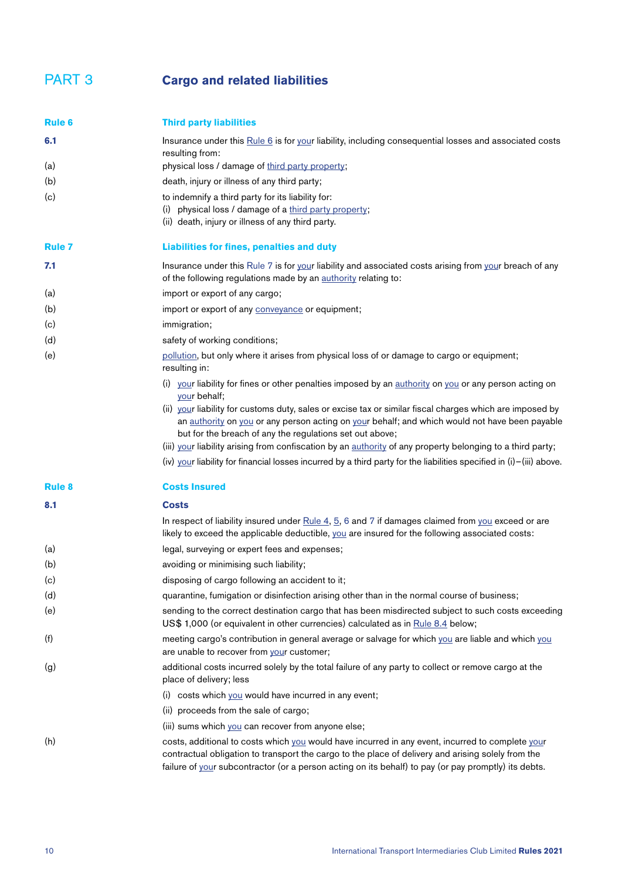<span id="page-9-6"></span><span id="page-9-5"></span><span id="page-9-4"></span><span id="page-9-3"></span><span id="page-9-2"></span><span id="page-9-1"></span><span id="page-9-0"></span>

| <b>Rule 6</b> | <b>Third party liabilities</b>                                                                                                                                                                                                                                                                                 |
|---------------|----------------------------------------------------------------------------------------------------------------------------------------------------------------------------------------------------------------------------------------------------------------------------------------------------------------|
| 6.1           | Insurance under this Rule 6 is for your liability, including consequential losses and associated costs<br>resulting from:                                                                                                                                                                                      |
| (a)           | physical loss / damage of third party property;                                                                                                                                                                                                                                                                |
| (b)           | death, injury or illness of any third party;                                                                                                                                                                                                                                                                   |
| (c)           | to indemnify a third party for its liability for:<br>(i) physical loss / damage of a third party property;<br>(ii) death, injury or illness of any third party.                                                                                                                                                |
| <b>Rule 7</b> | Liabilities for fines, penalties and duty                                                                                                                                                                                                                                                                      |
| 7.1           | Insurance under this Rule 7 is for your liability and associated costs arising from your breach of any<br>of the following regulations made by an authority relating to:                                                                                                                                       |
| (a)           | import or export of any cargo;                                                                                                                                                                                                                                                                                 |
| (b)           | import or export of any conveyance or equipment;                                                                                                                                                                                                                                                               |
| (c)           | immigration;                                                                                                                                                                                                                                                                                                   |
| (d)           | safety of working conditions;                                                                                                                                                                                                                                                                                  |
| (e)           | pollution, but only where it arises from physical loss of or damage to cargo or equipment;<br>resulting in:                                                                                                                                                                                                    |
|               | (i) your liability for fines or other penalties imposed by an authority on you or any person acting on<br>your behalf;                                                                                                                                                                                         |
|               | (ii) your liability for customs duty, sales or excise tax or similar fiscal charges which are imposed by<br>an authority on you or any person acting on your behalf; and which would not have been payable<br>but for the breach of any the regulations set out above;                                         |
|               | (iii) your liability arising from confiscation by an authority of any property belonging to a third party;                                                                                                                                                                                                     |
|               | (iv) your liability for financial losses incurred by a third party for the liabilities specified in (i)-(iii) above.                                                                                                                                                                                           |
| <b>Rule 8</b> | <b>Costs Insured</b>                                                                                                                                                                                                                                                                                           |
| 8.1           | <b>Costs</b>                                                                                                                                                                                                                                                                                                   |
|               | In respect of liability insured under $Rule 4, 5, 6$ and 7 if damages claimed from you exceed or are<br>likely to exceed the applicable deductible, you are insured for the following associated costs:                                                                                                        |
| (a)           | legal, surveying or expert fees and expenses;                                                                                                                                                                                                                                                                  |
| (b)           | avoiding or minimising such liability;                                                                                                                                                                                                                                                                         |
| (c)           | disposing of cargo following an accident to it;                                                                                                                                                                                                                                                                |
| (d)           | quarantine, fumigation or disinfection arising other than in the normal course of business;                                                                                                                                                                                                                    |
| (e)           | sending to the correct destination cargo that has been misdirected subject to such costs exceeding<br>US\$ 1,000 (or equivalent in other currencies) calculated as in Rule 8.4 below;                                                                                                                          |
| (f)           | meeting cargo's contribution in general average or salvage for which you are liable and which you<br>are unable to recover from your customer;                                                                                                                                                                 |
| (g)           | additional costs incurred solely by the total failure of any party to collect or remove cargo at the<br>place of delivery; less                                                                                                                                                                                |
|               | (i) costs which you would have incurred in any event;                                                                                                                                                                                                                                                          |
|               | (ii) proceeds from the sale of cargo;                                                                                                                                                                                                                                                                          |
|               | (iii) sums which you can recover from anyone else;                                                                                                                                                                                                                                                             |
| (h)           | costs, additional to costs which you would have incurred in any event, incurred to complete your<br>contractual obligation to transport the cargo to the place of delivery and arising solely from the<br>failure of your subcontractor (or a person acting on its behalf) to pay (or pay promptly) its debts. |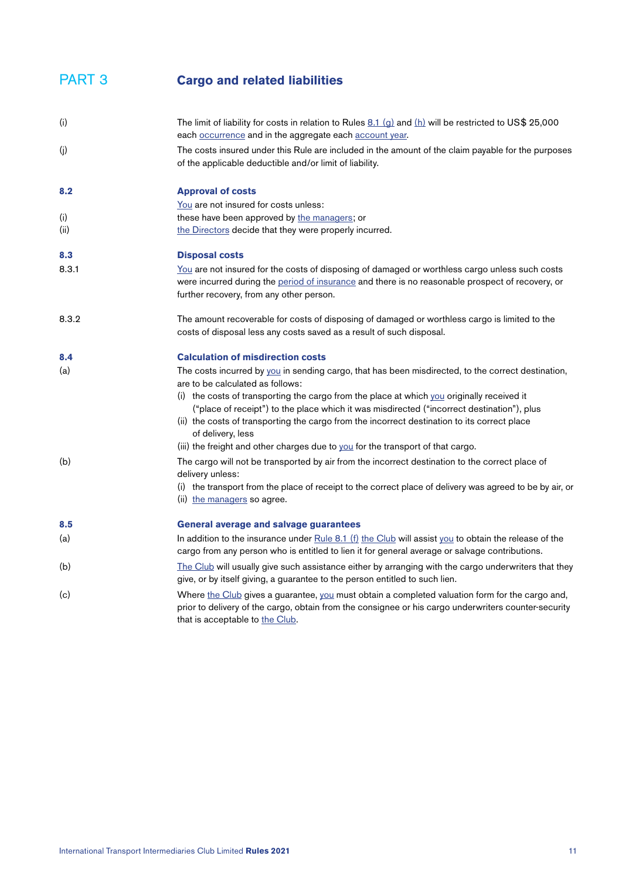<span id="page-10-0"></span>

| (i)   | The limit of liability for costs in relation to Rules $\underline{8.1}$ (g) and (h) will be restricted to US\$ 25,000<br>each occurrence and in the aggregate each account year.                        |
|-------|---------------------------------------------------------------------------------------------------------------------------------------------------------------------------------------------------------|
| (j)   | The costs insured under this Rule are included in the amount of the claim payable for the purposes<br>of the applicable deductible and/or limit of liability.                                           |
| 8.2   | <b>Approval of costs</b>                                                                                                                                                                                |
|       | You are not insured for costs unless:                                                                                                                                                                   |
| (i)   | these have been approved by the managers; or                                                                                                                                                            |
| (ii)  | the Directors decide that they were properly incurred.                                                                                                                                                  |
| 8.3   | <b>Disposal costs</b>                                                                                                                                                                                   |
| 8.3.1 | You are not insured for the costs of disposing of damaged or worthless cargo unless such costs                                                                                                          |
|       | were incurred during the period of insurance and there is no reasonable prospect of recovery, or                                                                                                        |
|       | further recovery, from any other person.                                                                                                                                                                |
| 8.3.2 | The amount recoverable for costs of disposing of damaged or worthless cargo is limited to the                                                                                                           |
|       | costs of disposal less any costs saved as a result of such disposal.                                                                                                                                    |
| 8.4   | <b>Calculation of misdirection costs</b>                                                                                                                                                                |
| (a)   | The costs incurred by you in sending cargo, that has been misdirected, to the correct destination,<br>are to be calculated as follows:                                                                  |
|       | (i) the costs of transporting the cargo from the place at which $y_{01}$ originally received it                                                                                                         |
|       | ("place of receipt") to the place which it was misdirected ("incorrect destination"), plus                                                                                                              |
|       | (ii) the costs of transporting the cargo from the incorrect destination to its correct place<br>of delivery, less                                                                                       |
|       | (iii) the freight and other charges due to you for the transport of that cargo.                                                                                                                         |
| (b)   | The cargo will not be transported by air from the incorrect destination to the correct place of                                                                                                         |
|       | delivery unless:                                                                                                                                                                                        |
|       | (i) the transport from the place of receipt to the correct place of delivery was agreed to be by air, or                                                                                                |
|       | (ii) the managers so agree.                                                                                                                                                                             |
| 8.5   | <b>General average and salvage guarantees</b>                                                                                                                                                           |
| (a)   | In addition to the insurance under Rule 8.1 (f) the Club will assist you to obtain the release of the                                                                                                   |
|       | cargo from any person who is entitled to lien it for general average or salvage contributions.                                                                                                          |
| (b)   | The Club will usually give such assistance either by arranging with the cargo underwriters that they                                                                                                    |
|       | give, or by itself giving, a guarantee to the person entitled to such lien.                                                                                                                             |
| (c)   | Where the Club gives a guarantee, you must obtain a completed valuation form for the cargo and,<br>prior to delivery of the cargo, obtain from the consignee or his cargo underwriters counter-security |
|       | that is acceptable to the Club.                                                                                                                                                                         |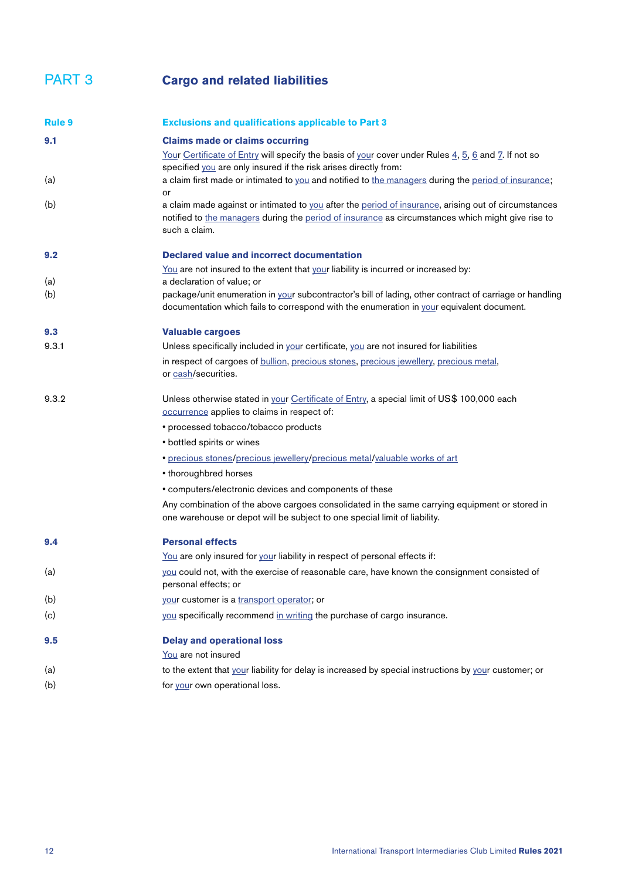<span id="page-11-0"></span>

| <b>Rule 9</b> | <b>Exclusions and qualifications applicable to Part 3</b>                                                                                                                                                                  |
|---------------|----------------------------------------------------------------------------------------------------------------------------------------------------------------------------------------------------------------------------|
| 9.1           | <b>Claims made or claims occurring</b>                                                                                                                                                                                     |
|               | Your Certificate of Entry will specify the basis of your cover under Rules 4, 5, 6 and 7. If not so<br>specified you are only insured if the risk arises directly from:                                                    |
| (a)           | a claim first made or intimated to you and notified to the managers during the period of insurance;<br>or                                                                                                                  |
| (b)           | a claim made against or intimated to you after the period of insurance, arising out of circumstances<br>notified to the managers during the period of insurance as circumstances which might give rise to<br>such a claim. |
| 9.2           | <b>Declared value and incorrect documentation</b>                                                                                                                                                                          |
|               | You are not insured to the extent that your liability is incurred or increased by:                                                                                                                                         |
| (a)           | a declaration of value; or                                                                                                                                                                                                 |
| (b)           | package/unit enumeration in your subcontractor's bill of lading, other contract of carriage or handling<br>documentation which fails to correspond with the enumeration in your equivalent document.                       |
| 9.3           | <b>Valuable cargoes</b>                                                                                                                                                                                                    |
| 9.3.1         | Unless specifically included in your certificate, you are not insured for liabilities                                                                                                                                      |
|               | in respect of cargoes of bullion, precious stones, precious jewellery, precious metal,<br>or cash/securities.                                                                                                              |
| 9.3.2         | Unless otherwise stated in your Certificate of Entry, a special limit of US\$ 100,000 each<br>occurrence applies to claims in respect of:                                                                                  |
|               | • processed tobacco/tobacco products                                                                                                                                                                                       |
|               | • bottled spirits or wines                                                                                                                                                                                                 |
|               | · precious stones/precious jewellery/precious metal/valuable works of art                                                                                                                                                  |
|               | • thoroughbred horses                                                                                                                                                                                                      |
|               | • computers/electronic devices and components of these                                                                                                                                                                     |
|               | Any combination of the above cargoes consolidated in the same carrying equipment or stored in<br>one warehouse or depot will be subject to one special limit of liability.                                                 |
| 9.4           | <b>Personal effects</b>                                                                                                                                                                                                    |
|               | You are only insured for your liability in respect of personal effects if:                                                                                                                                                 |
| (a)           | you could not, with the exercise of reasonable care, have known the consignment consisted of<br>personal effects; or                                                                                                       |
| (b)           | your customer is a transport operator; or                                                                                                                                                                                  |
| (c)           | you specifically recommend in writing the purchase of cargo insurance.                                                                                                                                                     |
| 9.5           | <b>Delay and operational loss</b>                                                                                                                                                                                          |
|               | You are not insured                                                                                                                                                                                                        |
| (a)           | to the extent that your liability for delay is increased by special instructions by your customer; or                                                                                                                      |
| (b)           | for your own operational loss.                                                                                                                                                                                             |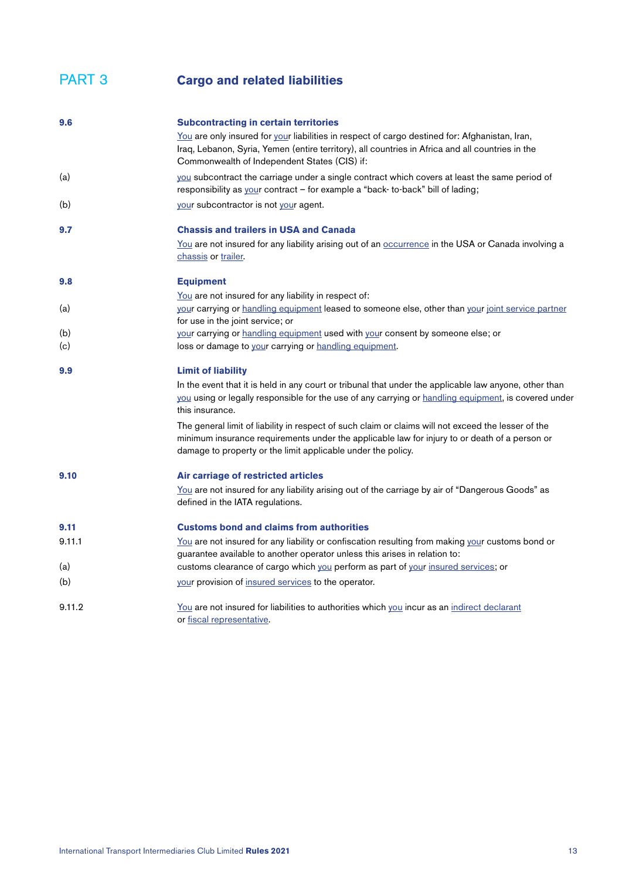| 9.6    | <b>Subcontracting in certain territories</b>                                                                                                                                                                                                                         |
|--------|----------------------------------------------------------------------------------------------------------------------------------------------------------------------------------------------------------------------------------------------------------------------|
|        | You are only insured for your liabilities in respect of cargo destined for: Afghanistan, Iran,<br>Iraq, Lebanon, Syria, Yemen (entire territory), all countries in Africa and all countries in the<br>Commonwealth of Independent States (CIS) if:                   |
| (a)    | you subcontract the carriage under a single contract which covers at least the same period of<br>responsibility as your contract - for example a "back- to-back" bill of lading;                                                                                     |
| (b)    | your subcontractor is not your agent.                                                                                                                                                                                                                                |
| 9.7    | <b>Chassis and trailers in USA and Canada</b>                                                                                                                                                                                                                        |
|        | You are not insured for any liability arising out of an occurrence in the USA or Canada involving a<br>chassis or trailer.                                                                                                                                           |
| 9.8    | <b>Equipment</b>                                                                                                                                                                                                                                                     |
|        | You are not insured for any liability in respect of:                                                                                                                                                                                                                 |
| (a)    | your carrying or handling equipment leased to someone else, other than your joint service partner<br>for use in the joint service; or                                                                                                                                |
| (b)    | your carrying or handling equipment used with your consent by someone else; or                                                                                                                                                                                       |
| (c)    | loss or damage to your carrying or handling equipment.                                                                                                                                                                                                               |
| 9.9    | <b>Limit of liability</b>                                                                                                                                                                                                                                            |
|        | In the event that it is held in any court or tribunal that under the applicable law anyone, other than<br>you using or legally responsible for the use of any carrying or handling equipment, is covered under<br>this insurance.                                    |
|        | The general limit of liability in respect of such claim or claims will not exceed the lesser of the<br>minimum insurance requirements under the applicable law for injury to or death of a person or<br>damage to property or the limit applicable under the policy. |
| 9.10   | Air carriage of restricted articles                                                                                                                                                                                                                                  |
|        | You are not insured for any liability arising out of the carriage by air of "Dangerous Goods" as<br>defined in the IATA regulations.                                                                                                                                 |
| 9.11   | <b>Customs bond and claims from authorities</b>                                                                                                                                                                                                                      |
| 9.11.1 | You are not insured for any liability or confiscation resulting from making your customs bond or                                                                                                                                                                     |
|        | guarantee available to another operator unless this arises in relation to:                                                                                                                                                                                           |
| (a)    | customs clearance of cargo which you perform as part of your insured services; or                                                                                                                                                                                    |
| (b)    | your provision of insured services to the operator.                                                                                                                                                                                                                  |
| 9.11.2 | <u>You</u> are not insured for liabilities to authorities which you incur as an indirect declarant<br>or fiscal representative.                                                                                                                                      |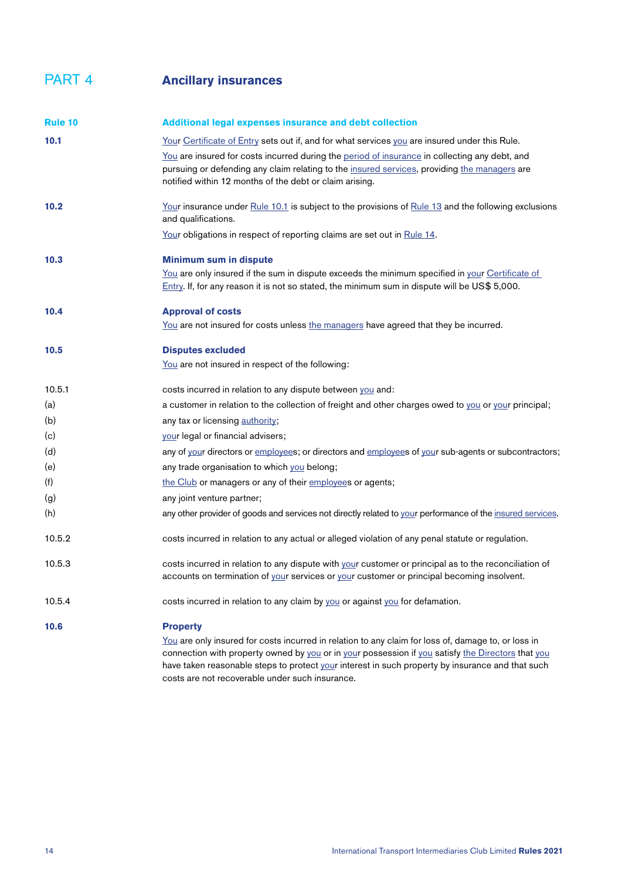<span id="page-13-0"></span>

<span id="page-13-2"></span><span id="page-13-1"></span>

| <b>Rule 10</b> | <b>Additional legal expenses insurance and debt collection</b>                                                                                                                                                                                           |
|----------------|----------------------------------------------------------------------------------------------------------------------------------------------------------------------------------------------------------------------------------------------------------|
| 10.1           | Your Certificate of Entry sets out if, and for what services you are insured under this Rule.                                                                                                                                                            |
|                | You are insured for costs incurred during the period of insurance in collecting any debt, and<br>pursuing or defending any claim relating to the insured services, providing the managers are<br>notified within 12 months of the debt or claim arising. |
| 10.2           | Your insurance under Rule 10.1 is subject to the provisions of Rule 13 and the following exclusions<br>and qualifications.                                                                                                                               |
|                | Your obligations in respect of reporting claims are set out in Rule 14.                                                                                                                                                                                  |
| 10.3           | <b>Minimum sum in dispute</b>                                                                                                                                                                                                                            |
|                | You are only insured if the sum in dispute exceeds the minimum specified in your Certificate of<br>Entry. If, for any reason it is not so stated, the minimum sum in dispute will be US\$ 5,000.                                                         |
| 10.4           | <b>Approval of costs</b>                                                                                                                                                                                                                                 |
|                | <u>You</u> are not insured for costs unless the managers have agreed that they be incurred.                                                                                                                                                              |
| 10.5           | <b>Disputes excluded</b>                                                                                                                                                                                                                                 |
|                | You are not insured in respect of the following:                                                                                                                                                                                                         |
| 10.5.1         | costs incurred in relation to any dispute between you and:                                                                                                                                                                                               |
| (a)            | a customer in relation to the collection of freight and other charges owed to you or your principal;                                                                                                                                                     |
| (b)            | any tax or licensing authority;                                                                                                                                                                                                                          |
| (c)            | your legal or financial advisers;                                                                                                                                                                                                                        |
| (d)            | any of your directors or employees; or directors and employees of your sub-agents or subcontractors;                                                                                                                                                     |
| (e)            | any trade organisation to which you belong;                                                                                                                                                                                                              |
| (f)            | the Club or managers or any of their employees or agents;                                                                                                                                                                                                |
| (g)            | any joint venture partner;                                                                                                                                                                                                                               |
| (h)            | any other provider of goods and services not directly related to your performance of the insured services.                                                                                                                                               |
| 10.5.2         | costs incurred in relation to any actual or alleged violation of any penal statute or regulation.                                                                                                                                                        |
| 10.5.3         | costs incurred in relation to any dispute with your customer or principal as to the reconciliation of<br>accounts on termination of your services or your customer or principal becoming insolvent.                                                      |
| 10.5.4         | costs incurred in relation to any claim by you or against you for defamation.                                                                                                                                                                            |
| 10.6           | <b>Property</b>                                                                                                                                                                                                                                          |
|                | You are only insured for costs incurred in relation to any claim for loss of, damage to, or loss in<br>connection with property owned by you or in your possession if you satisfy the Directors that you                                                 |

have taken reasonable steps to protect [your](#page-34-0) interest in such property by insurance and that such

costs are not recoverable under such insurance.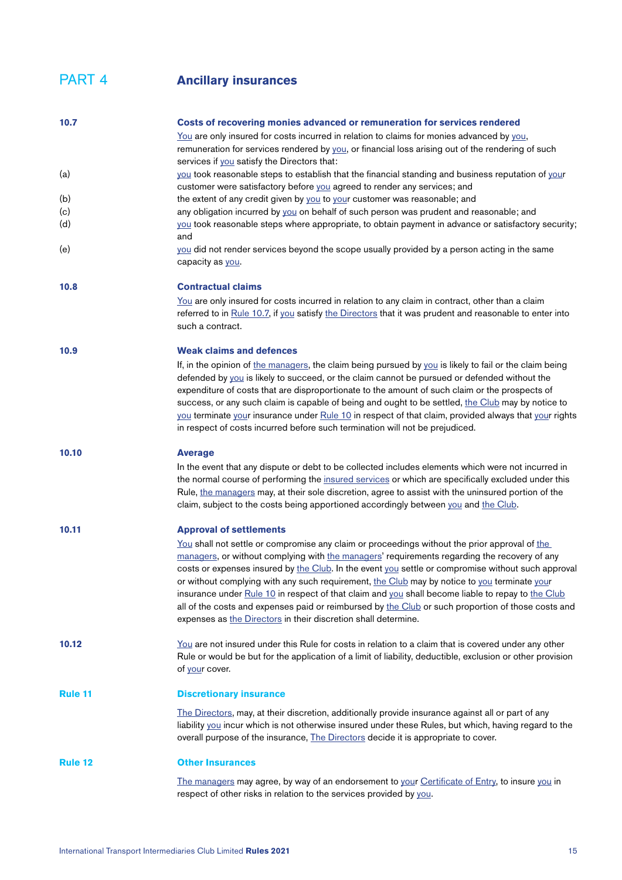#### PART 4 **Ancillary insurances**

<span id="page-14-2"></span><span id="page-14-1"></span><span id="page-14-0"></span>

| 10.7           | Costs of recovering monies advanced or remuneration for services rendered                                                                                                                          |
|----------------|----------------------------------------------------------------------------------------------------------------------------------------------------------------------------------------------------|
|                | You are only insured for costs incurred in relation to claims for monies advanced by you,                                                                                                          |
|                | remuneration for services rendered by you, or financial loss arising out of the rendering of such                                                                                                  |
|                | services if you satisfy the Directors that:                                                                                                                                                        |
| (a)            | you took reasonable steps to establish that the financial standing and business reputation of your                                                                                                 |
|                | customer were satisfactory before you agreed to render any services; and                                                                                                                           |
| (b)            | the extent of any credit given by you to your customer was reasonable; and                                                                                                                         |
| (c)            | any obligation incurred by you on behalf of such person was prudent and reasonable; and                                                                                                            |
| (d)            | you took reasonable steps where appropriate, to obtain payment in advance or satisfactory security;                                                                                                |
|                | and                                                                                                                                                                                                |
| (e)            | you did not render services beyond the scope usually provided by a person acting in the same                                                                                                       |
|                | capacity as you.                                                                                                                                                                                   |
|                |                                                                                                                                                                                                    |
| 10.8           | <b>Contractual claims</b>                                                                                                                                                                          |
|                | <u>You</u> are only insured for costs incurred in relation to any claim in contract, other than a claim                                                                                            |
|                | referred to in Rule 10.7, if you satisfy the Directors that it was prudent and reasonable to enter into                                                                                            |
|                | such a contract.                                                                                                                                                                                   |
| 10.9           | <b>Weak claims and defences</b>                                                                                                                                                                    |
|                | If, in the opinion of the managers, the claim being pursued by you is likely to fail or the claim being                                                                                            |
|                | defended by you is likely to succeed, or the claim cannot be pursued or defended without the                                                                                                       |
|                | expenditure of costs that are disproportionate to the amount of such claim or the prospects of                                                                                                     |
|                | success, or any such claim is capable of being and ought to be settled, the Club may by notice to                                                                                                  |
|                | you terminate your insurance under Rule 10 in respect of that claim, provided always that your rights                                                                                              |
|                | in respect of costs incurred before such termination will not be prejudiced.                                                                                                                       |
|                |                                                                                                                                                                                                    |
| 10.10          | <b>Average</b>                                                                                                                                                                                     |
|                | In the event that any dispute or debt to be collected includes elements which were not incurred in                                                                                                 |
|                | the normal course of performing the insured services or which are specifically excluded under this                                                                                                 |
|                | Rule, the managers may, at their sole discretion, agree to assist with the uninsured portion of the                                                                                                |
|                | claim, subject to the costs being apportioned accordingly between you and the Club.                                                                                                                |
| 10.11          |                                                                                                                                                                                                    |
|                | <b>Approval of settlements</b>                                                                                                                                                                     |
|                | You shall not settle or compromise any claim or proceedings without the prior approval of the                                                                                                      |
|                | managers, or without complying with the managers' requirements regarding the recovery of any<br>costs or expenses insured by the Club. In the event you settle or compromise without such approval |
|                | or without complying with any such requirement, the Club may by notice to you terminate your                                                                                                       |
|                | insurance under Rule 10 in respect of that claim and you shall become liable to repay to the Club                                                                                                  |
|                | all of the costs and expenses paid or reimbursed by the Club or such proportion of those costs and                                                                                                 |
|                | expenses as the Directors in their discretion shall determine.                                                                                                                                     |
|                |                                                                                                                                                                                                    |
| 10.12          | You are not insured under this Rule for costs in relation to a claim that is covered under any other                                                                                               |
|                | Rule or would be but for the application of a limit of liability, deductible, exclusion or other provision                                                                                         |
|                | of your cover.                                                                                                                                                                                     |
|                |                                                                                                                                                                                                    |
| <b>Rule 11</b> | <b>Discretionary insurance</b>                                                                                                                                                                     |
|                | The Directors, may, at their discretion, additionally provide insurance against all or part of any                                                                                                 |
|                | liability you incur which is not otherwise insured under these Rules, but which, having regard to the                                                                                              |
|                | overall purpose of the insurance, The Directors decide it is appropriate to cover.                                                                                                                 |
| <b>Rule 12</b> | <b>Other Insurances</b>                                                                                                                                                                            |
|                |                                                                                                                                                                                                    |
|                | The managers may agree, by way of an endorsement to your Certificate of Entry, to insure you in                                                                                                    |
|                | respect of other risks in relation to the services provided by you.                                                                                                                                |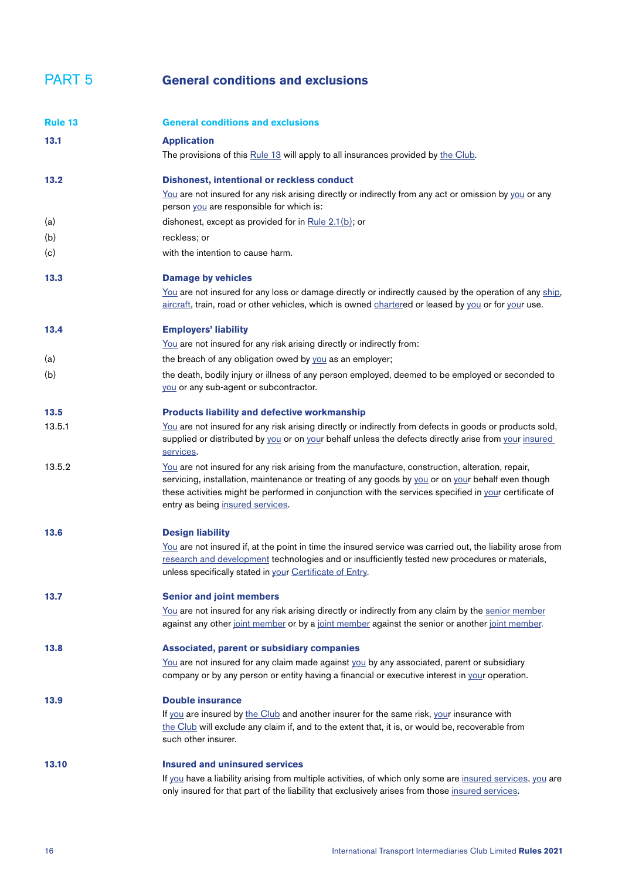<span id="page-15-0"></span>

| <b>PART 5</b> | <b>General conditions and exclusions</b> |  |
|---------------|------------------------------------------|--|
|               |                                          |  |

<span id="page-15-1"></span>

| <b>Rule 13</b> | <b>General conditions and exclusions</b>                                                                                                                                                                                                                                                                                                            |
|----------------|-----------------------------------------------------------------------------------------------------------------------------------------------------------------------------------------------------------------------------------------------------------------------------------------------------------------------------------------------------|
| 13.1           | <b>Application</b><br>The provisions of this Rule 13 will apply to all insurances provided by the Club.                                                                                                                                                                                                                                             |
| 13.2           | <b>Dishonest, intentional or reckless conduct</b>                                                                                                                                                                                                                                                                                                   |
|                | You are not insured for any risk arising directly or indirectly from any act or omission by you or any<br>person you are responsible for which is:                                                                                                                                                                                                  |
| (a)            | dishonest, except as provided for in Rule 2.1(b); or                                                                                                                                                                                                                                                                                                |
| (b)            | reckless; or                                                                                                                                                                                                                                                                                                                                        |
| (c)            | with the intention to cause harm.                                                                                                                                                                                                                                                                                                                   |
| 13.3           | <b>Damage by vehicles</b>                                                                                                                                                                                                                                                                                                                           |
|                | You are not insured for any loss or damage directly or indirectly caused by the operation of any ship,<br>aircraft, train, road or other vehicles, which is owned chartered or leased by you or for your use.                                                                                                                                       |
| 13.4           | <b>Employers' liability</b>                                                                                                                                                                                                                                                                                                                         |
|                | You are not insured for any risk arising directly or indirectly from:                                                                                                                                                                                                                                                                               |
| (a)            | the breach of any obligation owed by you as an employer;                                                                                                                                                                                                                                                                                            |
| (b)            | the death, bodily injury or illness of any person employed, deemed to be employed or seconded to<br>you or any sub-agent or subcontractor.                                                                                                                                                                                                          |
| 13.5           | <b>Products liability and defective workmanship</b>                                                                                                                                                                                                                                                                                                 |
| 13.5.1         | You are not insured for any risk arising directly or indirectly from defects in goods or products sold,<br>supplied or distributed by you or on your behalf unless the defects directly arise from your insured<br>services.                                                                                                                        |
| 13.5.2         | You are not insured for any risk arising from the manufacture, construction, alteration, repair,<br>servicing, installation, maintenance or treating of any goods by you or on your behalf even though<br>these activities might be performed in conjunction with the services specified in your certificate of<br>entry as being insured services. |
| 13.6           | <b>Design liability</b>                                                                                                                                                                                                                                                                                                                             |
|                | You are not insured if, at the point in time the insured service was carried out, the liability arose from<br>research and development technologies and or insufficiently tested new procedures or materials,<br>unless specifically stated in your Certificate of Entry.                                                                           |
| 13.7           | <b>Senior and joint members</b>                                                                                                                                                                                                                                                                                                                     |
|                | You are not insured for any risk arising directly or indirectly from any claim by the senior member<br>against any other joint member or by a joint member against the senior or another joint member.                                                                                                                                              |
| 13.8           | <b>Associated, parent or subsidiary companies</b><br>You are not insured for any claim made against you by any associated, parent or subsidiary<br>company or by any person or entity having a financial or executive interest in your operation.                                                                                                   |
| 13.9           | <b>Double insurance</b>                                                                                                                                                                                                                                                                                                                             |
|                | If you are insured by the Club and another insurer for the same risk, your insurance with<br>the Club will exclude any claim if, and to the extent that, it is, or would be, recoverable from<br>such other insurer.                                                                                                                                |
| 13.10          | <b>Insured and uninsured services</b>                                                                                                                                                                                                                                                                                                               |
|                | If you have a liability arising from multiple activities, of which only some are insured services, you are<br>only insured for that part of the liability that exclusively arises from those insured services.                                                                                                                                      |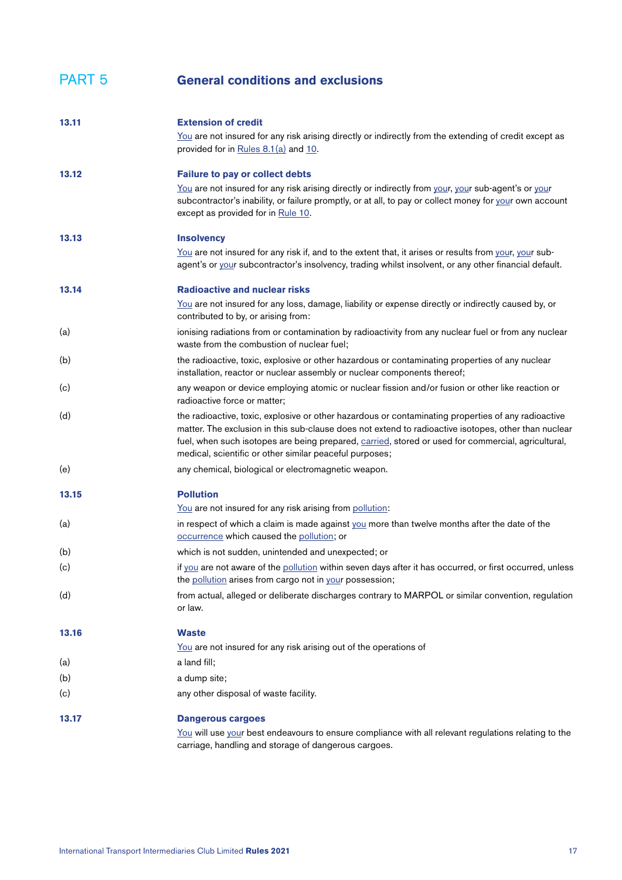<span id="page-16-0"></span>

| 13.11 | <b>Extension of credit</b>                                                                                                                                                                                                                                                                                                                                                   |
|-------|------------------------------------------------------------------------------------------------------------------------------------------------------------------------------------------------------------------------------------------------------------------------------------------------------------------------------------------------------------------------------|
|       | You are not insured for any risk arising directly or indirectly from the extending of credit except as<br>provided for in Rules 8.1(a) and 10.                                                                                                                                                                                                                               |
| 13.12 | <b>Failure to pay or collect debts</b>                                                                                                                                                                                                                                                                                                                                       |
|       | You are not insured for any risk arising directly or indirectly from your, your sub-agent's or your<br>subcontractor's inability, or failure promptly, or at all, to pay or collect money for your own account<br>except as provided for in Rule 10.                                                                                                                         |
| 13.13 | <b>Insolvency</b>                                                                                                                                                                                                                                                                                                                                                            |
|       | You are not insured for any risk if, and to the extent that, it arises or results from your, your sub-<br>agent's or your subcontractor's insolvency, trading whilst insolvent, or any other financial default.                                                                                                                                                              |
| 13.14 | <b>Radioactive and nuclear risks</b>                                                                                                                                                                                                                                                                                                                                         |
|       | You are not insured for any loss, damage, liability or expense directly or indirectly caused by, or<br>contributed to by, or arising from:                                                                                                                                                                                                                                   |
| (a)   | ionising radiations from or contamination by radioactivity from any nuclear fuel or from any nuclear<br>waste from the combustion of nuclear fuel;                                                                                                                                                                                                                           |
| (b)   | the radioactive, toxic, explosive or other hazardous or contaminating properties of any nuclear<br>installation, reactor or nuclear assembly or nuclear components thereof;                                                                                                                                                                                                  |
| (c)   | any weapon or device employing atomic or nuclear fission and/or fusion or other like reaction or<br>radioactive force or matter;                                                                                                                                                                                                                                             |
| (d)   | the radioactive, toxic, explosive or other hazardous or contaminating properties of any radioactive<br>matter. The exclusion in this sub-clause does not extend to radioactive isotopes, other than nuclear<br>fuel, when such isotopes are being prepared, carried, stored or used for commercial, agricultural,<br>medical, scientific or other similar peaceful purposes; |
| (e)   | any chemical, biological or electromagnetic weapon.                                                                                                                                                                                                                                                                                                                          |
| 13.15 | <b>Pollution</b>                                                                                                                                                                                                                                                                                                                                                             |
|       | You are not insured for any risk arising from pollution:                                                                                                                                                                                                                                                                                                                     |
| (a)   | in respect of which a claim is made against you more than twelve months after the date of the<br>occurrence which caused the pollution; or                                                                                                                                                                                                                                   |
| (b)   | which is not sudden, unintended and unexpected; or                                                                                                                                                                                                                                                                                                                           |
| (c)   | if you are not aware of the pollution within seven days after it has occurred, or first occurred, unless<br>the pollution arises from cargo not in your possession;                                                                                                                                                                                                          |
| (d)   | from actual, alleged or deliberate discharges contrary to MARPOL or similar convention, regulation<br>or law.                                                                                                                                                                                                                                                                |
| 13.16 | <b>Waste</b>                                                                                                                                                                                                                                                                                                                                                                 |
|       | You are not insured for any risk arising out of the operations of                                                                                                                                                                                                                                                                                                            |
| (a)   | a land fill;                                                                                                                                                                                                                                                                                                                                                                 |
| (b)   | a dump site;                                                                                                                                                                                                                                                                                                                                                                 |
| (c)   | any other disposal of waste facility.                                                                                                                                                                                                                                                                                                                                        |
| 13.17 | <b>Dangerous cargoes</b>                                                                                                                                                                                                                                                                                                                                                     |
|       | You will use your best endeavours to ensure compliance with all relevant regulations relating to the<br>carriage, handling and storage of dangerous cargoes.                                                                                                                                                                                                                 |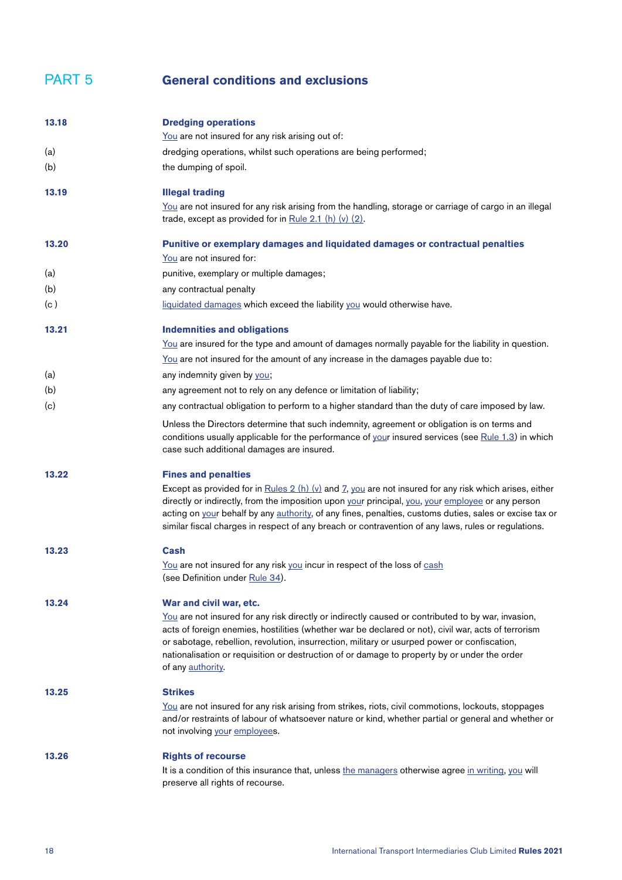<span id="page-17-0"></span>

| 13.18 | <b>Dredging operations</b>                                                                                                                                                                                                                                                                                                                                                                                                       |
|-------|----------------------------------------------------------------------------------------------------------------------------------------------------------------------------------------------------------------------------------------------------------------------------------------------------------------------------------------------------------------------------------------------------------------------------------|
|       | You are not insured for any risk arising out of:                                                                                                                                                                                                                                                                                                                                                                                 |
| (a)   | dredging operations, whilst such operations are being performed;                                                                                                                                                                                                                                                                                                                                                                 |
| (b)   | the dumping of spoil.                                                                                                                                                                                                                                                                                                                                                                                                            |
| 13.19 | <b>Illegal trading</b>                                                                                                                                                                                                                                                                                                                                                                                                           |
|       | You are not insured for any risk arising from the handling, storage or carriage of cargo in an illegal<br>trade, except as provided for in Rule 2.1 (h) $(v)$ (2).                                                                                                                                                                                                                                                               |
| 13.20 | Punitive or exemplary damages and liquidated damages or contractual penalties                                                                                                                                                                                                                                                                                                                                                    |
|       | You are not insured for:                                                                                                                                                                                                                                                                                                                                                                                                         |
| (a)   | punitive, exemplary or multiple damages;                                                                                                                                                                                                                                                                                                                                                                                         |
| (b)   | any contractual penalty                                                                                                                                                                                                                                                                                                                                                                                                          |
| (c)   | liquidated damages which exceed the liability you would otherwise have.                                                                                                                                                                                                                                                                                                                                                          |
| 13.21 | <b>Indemnities and obligations</b>                                                                                                                                                                                                                                                                                                                                                                                               |
|       | You are insured for the type and amount of damages normally payable for the liability in question.                                                                                                                                                                                                                                                                                                                               |
|       | You are not insured for the amount of any increase in the damages payable due to:                                                                                                                                                                                                                                                                                                                                                |
| (a)   | any indemnity given by you;                                                                                                                                                                                                                                                                                                                                                                                                      |
| (b)   | any agreement not to rely on any defence or limitation of liability;                                                                                                                                                                                                                                                                                                                                                             |
| (c)   | any contractual obligation to perform to a higher standard than the duty of care imposed by law.                                                                                                                                                                                                                                                                                                                                 |
|       | Unless the Directors determine that such indemnity, agreement or obligation is on terms and<br>conditions usually applicable for the performance of your insured services (see Rule 1.3) in which<br>case such additional damages are insured.                                                                                                                                                                                   |
| 13.22 | <b>Fines and penalties</b>                                                                                                                                                                                                                                                                                                                                                                                                       |
|       | Except as provided for in Rules $2(h)(v)$ and $7$ , you are not insured for any risk which arises, either<br>directly or indirectly, from the imposition upon your principal, you, your employee or any person<br>acting on your behalf by any authority, of any fines, penalties, customs duties, sales or excise tax or<br>similar fiscal charges in respect of any breach or contravention of any laws, rules or regulations. |
| 13.23 | Cash                                                                                                                                                                                                                                                                                                                                                                                                                             |
|       | You are not insured for any risk you incur in respect of the loss of cash<br>(see Definition under Rule 34).                                                                                                                                                                                                                                                                                                                     |
| 13.24 | War and civil war, etc.                                                                                                                                                                                                                                                                                                                                                                                                          |
|       | You are not insured for any risk directly or indirectly caused or contributed to by war, invasion,<br>acts of foreign enemies, hostilities (whether war be declared or not), civil war, acts of terrorism<br>or sabotage, rebellion, revolution, insurrection, military or usurped power or confiscation,<br>nationalisation or requisition or destruction of or damage to property by or under the order<br>of any authority.   |
| 13.25 | <b>Strikes</b>                                                                                                                                                                                                                                                                                                                                                                                                                   |
|       | You are not insured for any risk arising from strikes, riots, civil commotions, lockouts, stoppages<br>and/or restraints of labour of whatsoever nature or kind, whether partial or general and whether or<br>not involving your employees.                                                                                                                                                                                      |
| 13.26 | <b>Rights of recourse</b>                                                                                                                                                                                                                                                                                                                                                                                                        |
|       | It is a condition of this insurance that, unless the managers otherwise agree in writing, you will<br>preserve all rights of recourse.                                                                                                                                                                                                                                                                                           |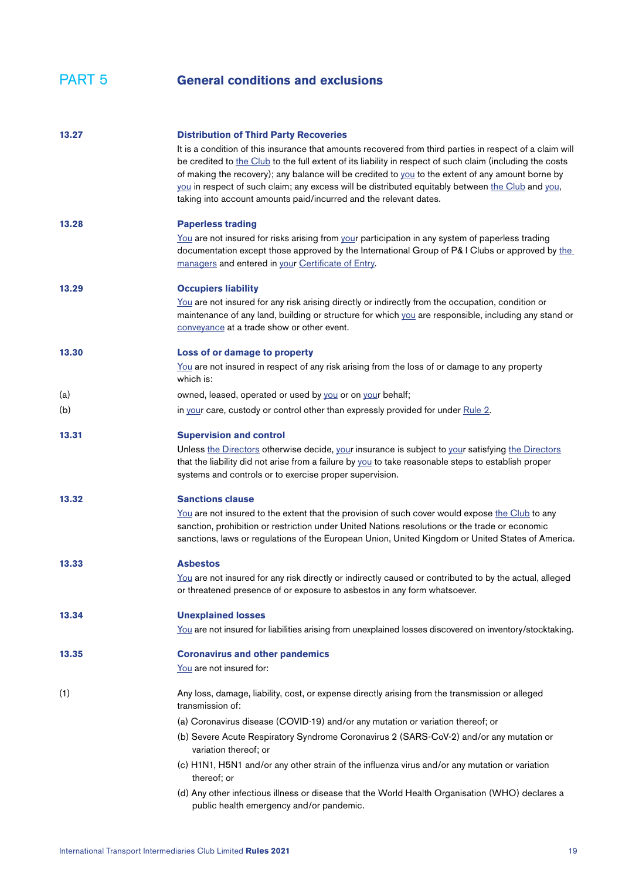| 13.27 | <b>Distribution of Third Party Recoveries</b><br>It is a condition of this insurance that amounts recovered from third parties in respect of a claim will<br>be credited to the Club to the full extent of its liability in respect of such claim (including the costs<br>of making the recovery); any balance will be credited to you to the extent of any amount borne by<br>you in respect of such claim; any excess will be distributed equitably between the Club and you,<br>taking into account amounts paid/incurred and the relevant dates. |
|-------|------------------------------------------------------------------------------------------------------------------------------------------------------------------------------------------------------------------------------------------------------------------------------------------------------------------------------------------------------------------------------------------------------------------------------------------------------------------------------------------------------------------------------------------------------|
| 13.28 | <b>Paperless trading</b><br>You are not insured for risks arising from your participation in any system of paperless trading<br>documentation except those approved by the International Group of P& I Clubs or approved by the<br>managers and entered in your Certificate of Entry.                                                                                                                                                                                                                                                                |
| 13.29 | <b>Occupiers liability</b><br>You are not insured for any risk arising directly or indirectly from the occupation, condition or<br>maintenance of any land, building or structure for which you are responsible, including any stand or<br>conveyance at a trade show or other event.                                                                                                                                                                                                                                                                |
| 13.30 | Loss of or damage to property<br>You are not insured in respect of any risk arising from the loss of or damage to any property<br>which is:                                                                                                                                                                                                                                                                                                                                                                                                          |
| (a)   | owned, leased, operated or used by you or on your behalf;                                                                                                                                                                                                                                                                                                                                                                                                                                                                                            |
| (b)   | in your care, custody or control other than expressly provided for under Rule 2.                                                                                                                                                                                                                                                                                                                                                                                                                                                                     |
| 13.31 | <b>Supervision and control</b>                                                                                                                                                                                                                                                                                                                                                                                                                                                                                                                       |
|       | Unless the Directors otherwise decide, your insurance is subject to your satisfying the Directors<br>that the liability did not arise from a failure by you to take reasonable steps to establish proper<br>systems and controls or to exercise proper supervision.                                                                                                                                                                                                                                                                                  |
| 13.32 | <b>Sanctions clause</b>                                                                                                                                                                                                                                                                                                                                                                                                                                                                                                                              |
|       | You are not insured to the extent that the provision of such cover would expose the Club to any<br>sanction, prohibition or restriction under United Nations resolutions or the trade or economic<br>sanctions, laws or regulations of the European Union, United Kingdom or United States of America.                                                                                                                                                                                                                                               |
| 13.33 | <b>Asbestos</b>                                                                                                                                                                                                                                                                                                                                                                                                                                                                                                                                      |
|       | You are not insured for any risk directly or indirectly caused or contributed to by the actual, alleged<br>or threatened presence of or exposure to asbestos in any form whatsoever.                                                                                                                                                                                                                                                                                                                                                                 |
| 13.34 | <b>Unexplained losses</b>                                                                                                                                                                                                                                                                                                                                                                                                                                                                                                                            |
|       | You are not insured for liabilities arising from unexplained losses discovered on inventory/stocktaking.                                                                                                                                                                                                                                                                                                                                                                                                                                             |
| 13.35 | <b>Coronavirus and other pandemics</b>                                                                                                                                                                                                                                                                                                                                                                                                                                                                                                               |
|       | You are not insured for:                                                                                                                                                                                                                                                                                                                                                                                                                                                                                                                             |
| (1)   | Any loss, damage, liability, cost, or expense directly arising from the transmission or alleged<br>transmission of:                                                                                                                                                                                                                                                                                                                                                                                                                                  |
|       | (a) Coronavirus disease (COVID-19) and/or any mutation or variation thereof; or                                                                                                                                                                                                                                                                                                                                                                                                                                                                      |
|       | (b) Severe Acute Respiratory Syndrome Coronavirus 2 (SARS-CoV-2) and/or any mutation or<br>variation thereof; or                                                                                                                                                                                                                                                                                                                                                                                                                                     |
|       | (c) H1N1, H5N1 and/or any other strain of the influenza virus and/or any mutation or variation<br>thereof; or                                                                                                                                                                                                                                                                                                                                                                                                                                        |
|       | (d) Any other infectious illness or disease that the World Health Organisation (WHO) declares a<br>public health emergency and/or pandemic.                                                                                                                                                                                                                                                                                                                                                                                                          |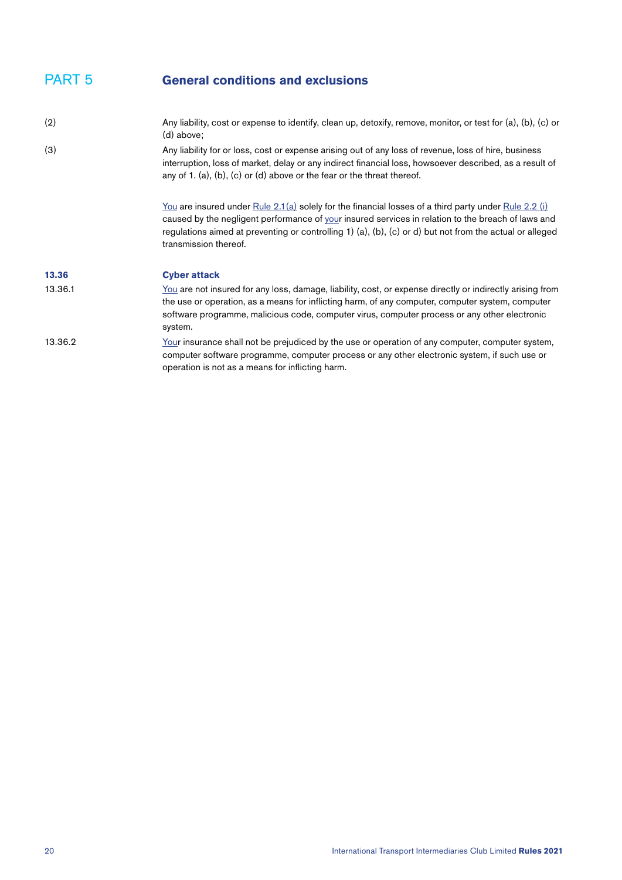<span id="page-19-1"></span><span id="page-19-0"></span>

| (2)     | Any liability, cost or expense to identify, clean up, detoxify, remove, monitor, or test for (a), (b), (c) or<br>(d) above:                                                                                                                                                                                                                          |
|---------|------------------------------------------------------------------------------------------------------------------------------------------------------------------------------------------------------------------------------------------------------------------------------------------------------------------------------------------------------|
| (3)     | Any liability for or loss, cost or expense arising out of any loss of revenue, loss of hire, business<br>interruption, loss of market, delay or any indirect financial loss, howsoever described, as a result of<br>any of 1. (a), (b), (c) or (d) above or the fear or the threat thereof.                                                          |
|         | You are insured under Rule $2.1(a)$ solely for the financial losses of a third party under Rule $2.2$ (i)<br>caused by the negligent performance of your insured services in relation to the breach of laws and<br>regulations aimed at preventing or controlling 1) (a), (b), (c) or d) but not from the actual or alleged<br>transmission thereof. |
| 13.36   | <b>Cyber attack</b>                                                                                                                                                                                                                                                                                                                                  |
| 13.36.1 | You are not insured for any loss, damage, liability, cost, or expense directly or indirectly arising from<br>the use or operation, as a means for inflicting harm, of any computer, computer system, computer<br>software programme, malicious code, computer virus, computer process or any other electronic<br>system.                             |
| 13.36.2 | Your insurance shall not be prejudiced by the use or operation of any computer, computer system,<br>computer software programme, computer process or any other electronic system, if such use or<br>operation is not as a means for inflicting harm.                                                                                                 |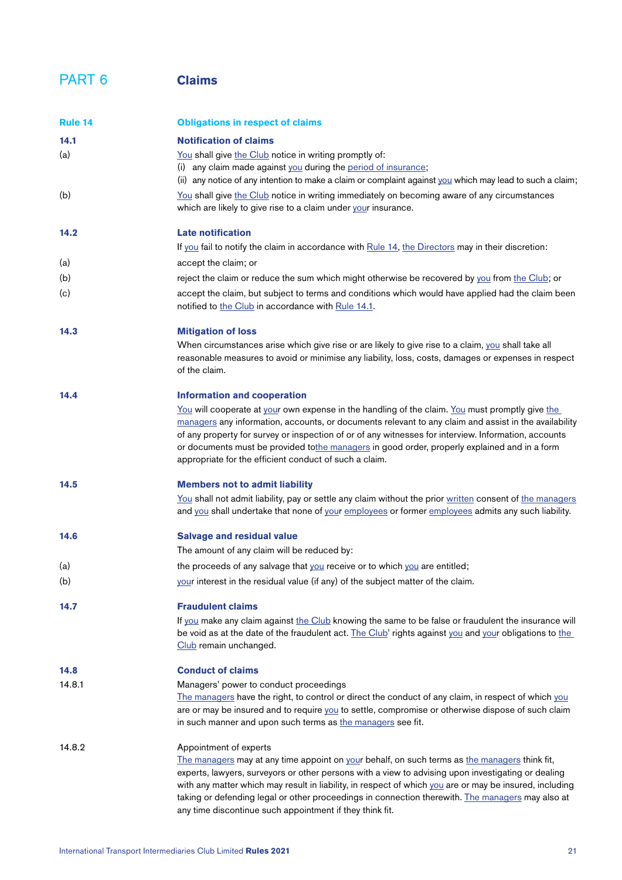# PART 6 **Claims**

<span id="page-20-3"></span><span id="page-20-2"></span><span id="page-20-1"></span><span id="page-20-0"></span>

| Rule 14 | <b>Obligations in respect of claims</b>                                                                                                                                                                                                                                                                                                                                                                                                                                                                  |
|---------|----------------------------------------------------------------------------------------------------------------------------------------------------------------------------------------------------------------------------------------------------------------------------------------------------------------------------------------------------------------------------------------------------------------------------------------------------------------------------------------------------------|
| 14.1    | <b>Notification of claims</b>                                                                                                                                                                                                                                                                                                                                                                                                                                                                            |
| (a)     | You shall give the Club notice in writing promptly of:                                                                                                                                                                                                                                                                                                                                                                                                                                                   |
|         | (i) any claim made against you during the period of insurance;<br>(ii) any notice of any intention to make a claim or complaint against you which may lead to such a claim;                                                                                                                                                                                                                                                                                                                              |
| (b)     | You shall give the Club notice in writing immediately on becoming aware of any circumstances<br>which are likely to give rise to a claim under your insurance.                                                                                                                                                                                                                                                                                                                                           |
| 14.2    | <b>Late notification</b>                                                                                                                                                                                                                                                                                                                                                                                                                                                                                 |
|         | If you fail to notify the claim in accordance with Rule 14, the Directors may in their discretion:                                                                                                                                                                                                                                                                                                                                                                                                       |
| (a)     | accept the claim; or                                                                                                                                                                                                                                                                                                                                                                                                                                                                                     |
| (b)     | reject the claim or reduce the sum which might otherwise be recovered by you from the Club; or                                                                                                                                                                                                                                                                                                                                                                                                           |
| (c)     | accept the claim, but subject to terms and conditions which would have applied had the claim been<br>notified to the Club in accordance with Rule 14.1.                                                                                                                                                                                                                                                                                                                                                  |
| 14.3    | <b>Mitigation of loss</b>                                                                                                                                                                                                                                                                                                                                                                                                                                                                                |
|         | When circumstances arise which give rise or are likely to give rise to a claim, you shall take all<br>reasonable measures to avoid or minimise any liability, loss, costs, damages or expenses in respect<br>of the claim.                                                                                                                                                                                                                                                                               |
| 14.4    | <b>Information and cooperation</b>                                                                                                                                                                                                                                                                                                                                                                                                                                                                       |
|         | You will cooperate at your own expense in the handling of the claim. You must promptly give the<br>managers any information, accounts, or documents relevant to any claim and assist in the availability<br>of any property for survey or inspection of or of any witnesses for interview. Information, accounts<br>or documents must be provided tothe managers in good order, properly explained and in a form<br>appropriate for the efficient conduct of such a claim.                               |
| 14.5    | <b>Members not to admit liability</b>                                                                                                                                                                                                                                                                                                                                                                                                                                                                    |
|         | You shall not admit liability, pay or settle any claim without the prior written consent of the managers<br>and you shall undertake that none of your employees or former employees admits any such liability.                                                                                                                                                                                                                                                                                           |
| 14.6    | <b>Salvage and residual value</b>                                                                                                                                                                                                                                                                                                                                                                                                                                                                        |
|         | The amount of any claim will be reduced by:                                                                                                                                                                                                                                                                                                                                                                                                                                                              |
| (a)     | the proceeds of any salvage that you receive or to which you are entitled;                                                                                                                                                                                                                                                                                                                                                                                                                               |
| (b)     | your interest in the residual value (if any) of the subject matter of the claim.                                                                                                                                                                                                                                                                                                                                                                                                                         |
| 14.7    | <b>Fraudulent claims</b>                                                                                                                                                                                                                                                                                                                                                                                                                                                                                 |
|         | If you make any claim against the Club knowing the same to be false or fraudulent the insurance will<br>be void as at the date of the fraudulent act. The Club' rights against you and your obligations to the<br>Club remain unchanged.                                                                                                                                                                                                                                                                 |
| 14.8    | <b>Conduct of claims</b>                                                                                                                                                                                                                                                                                                                                                                                                                                                                                 |
| 14.8.1  | Managers' power to conduct proceedings<br>The managers have the right, to control or direct the conduct of any claim, in respect of which you<br>are or may be insured and to require you to settle, compromise or otherwise dispose of such claim<br>in such manner and upon such terms as the managers see fit.                                                                                                                                                                                        |
| 14.8.2  | Appointment of experts<br>The managers may at any time appoint on your behalf, on such terms as the managers think fit,<br>experts, lawyers, surveyors or other persons with a view to advising upon investigating or dealing<br>with any matter which may result in liability, in respect of which you are or may be insured, including<br>taking or defending legal or other proceedings in connection therewith. The managers may also at<br>any time discontinue such appointment if they think fit. |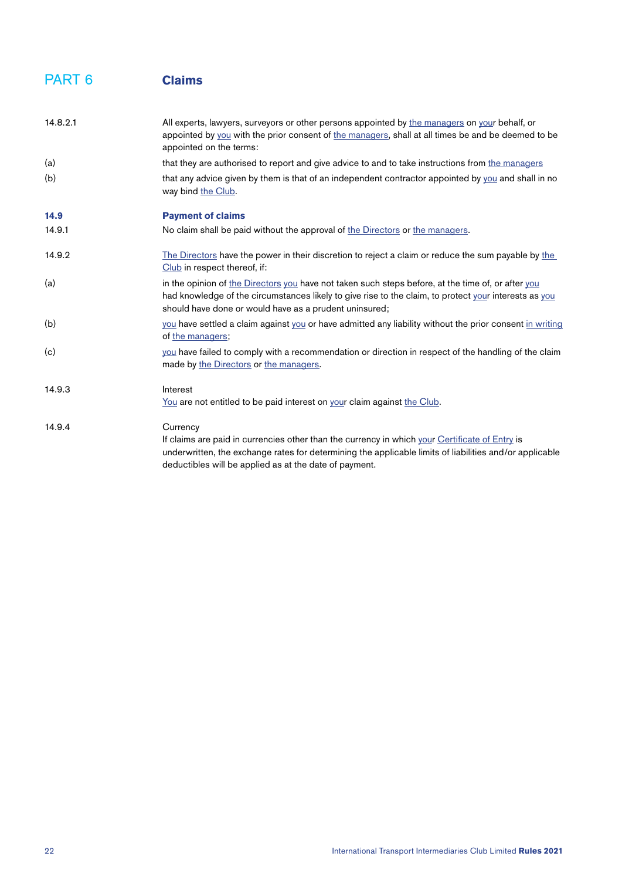#### <span id="page-21-0"></span>PART 6 **Claims**

<span id="page-21-1"></span>

| 14.8.2.1 | All experts, lawyers, surveyors or other persons appointed by the managers on your behalf, or<br>appointed by you with the prior consent of the managers, shall at all times be and be deemed to be<br>appointed on the terms:                                                  |
|----------|---------------------------------------------------------------------------------------------------------------------------------------------------------------------------------------------------------------------------------------------------------------------------------|
| (a)      | that they are authorised to report and give advice to and to take instructions from the managers                                                                                                                                                                                |
| (b)      | that any advice given by them is that of an independent contractor appointed by you and shall in no<br>way bind the Club.                                                                                                                                                       |
| 14.9     | <b>Payment of claims</b>                                                                                                                                                                                                                                                        |
| 14.9.1   | No claim shall be paid without the approval of the Directors or the managers.                                                                                                                                                                                                   |
| 14.9.2   | The Directors have the power in their discretion to reject a claim or reduce the sum payable by the<br>Club in respect thereof, if:                                                                                                                                             |
| (a)      | in the opinion of the Directors you have not taken such steps before, at the time of, or after you<br>had knowledge of the circumstances likely to give rise to the claim, to protect your interests as you<br>should have done or would have as a prudent uninsured;           |
| (b)      | you have settled a claim against you or have admitted any liability without the prior consent in writing<br>of the managers;                                                                                                                                                    |
| (c)      | you have failed to comply with a recommendation or direction in respect of the handling of the claim<br>made by the Directors or the managers.                                                                                                                                  |
| 14.9.3   | Interest<br>You are not entitled to be paid interest on your claim against the Club.                                                                                                                                                                                            |
| 14.9.4   | Currency<br>If claims are paid in currencies other than the currency in which your Certificate of Entry is<br>underwritten, the exchange rates for determining the applicable limits of liabilities and/or applicable<br>deductibles will be applied as at the date of payment. |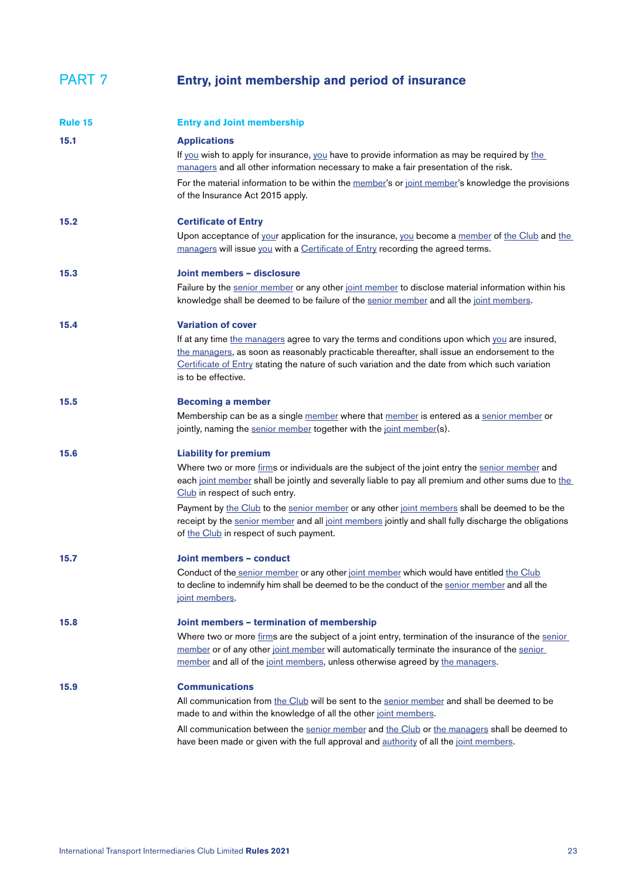### PART 7 **Entry, joint membership and period of insurance**

<span id="page-22-2"></span><span id="page-22-1"></span><span id="page-22-0"></span>

| Rule 15 | <b>Entry and Joint membership</b>                                                                                                                                                                                                                                                                                          |
|---------|----------------------------------------------------------------------------------------------------------------------------------------------------------------------------------------------------------------------------------------------------------------------------------------------------------------------------|
| 15.1    | <b>Applications</b><br>If you wish to apply for insurance, you have to provide information as may be required by the<br>managers and all other information necessary to make a fair presentation of the risk.                                                                                                              |
|         | For the material information to be within the member's or joint member's knowledge the provisions<br>of the Insurance Act 2015 apply.                                                                                                                                                                                      |
| 15.2    | <b>Certificate of Entry</b>                                                                                                                                                                                                                                                                                                |
|         | Upon acceptance of your application for the insurance, you become a member of the Club and the<br>managers will issue you with a Certificate of Entry recording the agreed terms.                                                                                                                                          |
| 15.3    | Joint members - disclosure                                                                                                                                                                                                                                                                                                 |
|         | Failure by the senior member or any other joint member to disclose material information within his<br>knowledge shall be deemed to be failure of the senior member and all the joint members.                                                                                                                              |
| 15.4    | <b>Variation of cover</b>                                                                                                                                                                                                                                                                                                  |
|         | If at any time the managers agree to vary the terms and conditions upon which you are insured,<br>the managers, as soon as reasonably practicable thereafter, shall issue an endorsement to the<br>Certificate of Entry stating the nature of such variation and the date from which such variation<br>is to be effective. |
| 15.5    | <b>Becoming a member</b>                                                                                                                                                                                                                                                                                                   |
|         | Membership can be as a single member where that member is entered as a senior member or<br>jointly, naming the senior member together with the joint member(s).                                                                                                                                                            |
| 15.6    | <b>Liability for premium</b>                                                                                                                                                                                                                                                                                               |
|         | Where two or more firms or individuals are the subject of the joint entry the senior member and<br>each joint member shall be jointly and severally liable to pay all premium and other sums due to the<br>Club in respect of such entry.                                                                                  |
|         | Payment by the Club to the senior member or any other joint members shall be deemed to be the<br>receipt by the senior member and all joint members jointly and shall fully discharge the obligations<br>of the Club in respect of such payment.                                                                           |
| 15.7    | Joint members - conduct                                                                                                                                                                                                                                                                                                    |
|         | Conduct of the senior member or any other joint member which would have entitled the Club<br>to decline to indemnify him shall be deemed to be the conduct of the senior member and all the<br>joint members.                                                                                                              |
| 15.8    | Joint members - termination of membership                                                                                                                                                                                                                                                                                  |
|         | Where two or more firms are the subject of a joint entry, termination of the insurance of the senior<br>member or of any other joint member will automatically terminate the insurance of the senior<br>member and all of the joint members, unless otherwise agreed by the managers.                                      |
| 15.9    | <b>Communications</b>                                                                                                                                                                                                                                                                                                      |
|         | All communication from the Club will be sent to the senior member and shall be deemed to be<br>made to and within the knowledge of all the other joint members.                                                                                                                                                            |
|         | All communication between the senior member and the Club or the managers shall be deemed to<br>have been made or given with the full approval and authority of all the joint members.                                                                                                                                      |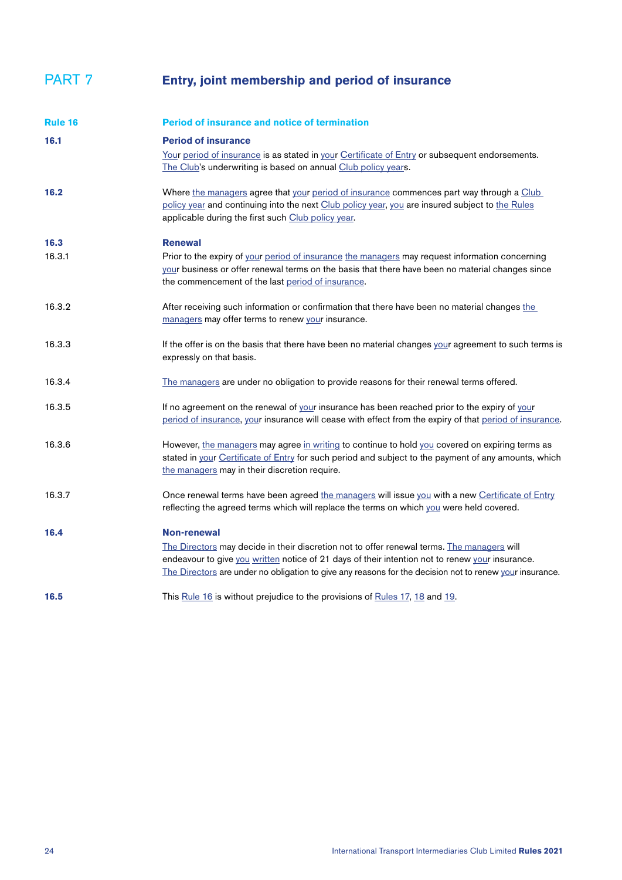### PART 7 **Entry, joint membership and period of insurance**

<span id="page-23-0"></span>

| Rule 16 | <b>Period of insurance and notice of termination</b>                                                                                                                                                                                                                                                                           |
|---------|--------------------------------------------------------------------------------------------------------------------------------------------------------------------------------------------------------------------------------------------------------------------------------------------------------------------------------|
| 16.1    | <b>Period of insurance</b><br>Your period of insurance is as stated in your Certificate of Entry or subsequent endorsements.<br>The Club's underwriting is based on annual Club policy years.                                                                                                                                  |
| 16.2    | Where the managers agree that your period of insurance commences part way through a Club<br>policy year and continuing into the next Club policy year, you are insured subject to the Rules<br>applicable during the first such Club policy year.                                                                              |
| 16.3    | <b>Renewal</b>                                                                                                                                                                                                                                                                                                                 |
| 16.3.1  | Prior to the expiry of your period of insurance the managers may request information concerning<br>your business or offer renewal terms on the basis that there have been no material changes since<br>the commencement of the last period of insurance.                                                                       |
| 16.3.2  | After receiving such information or confirmation that there have been no material changes the<br>managers may offer terms to renew your insurance.                                                                                                                                                                             |
| 16.3.3  | If the offer is on the basis that there have been no material changes your agreement to such terms is<br>expressly on that basis.                                                                                                                                                                                              |
| 16.3.4  | The managers are under no obligation to provide reasons for their renewal terms offered.                                                                                                                                                                                                                                       |
| 16.3.5  | If no agreement on the renewal of your insurance has been reached prior to the expiry of your<br>period of insurance, your insurance will cease with effect from the expiry of that period of insurance.                                                                                                                       |
| 16.3.6  | However, the managers may agree in writing to continue to hold you covered on expiring terms as<br>stated in your Certificate of Entry for such period and subject to the payment of any amounts, which<br>the managers may in their discretion require.                                                                       |
| 16.3.7  | Once renewal terms have been agreed the managers will issue you with a new Certificate of Entry<br>reflecting the agreed terms which will replace the terms on which you were held covered.                                                                                                                                    |
| 16.4    | <b>Non-renewal</b><br>The Directors may decide in their discretion not to offer renewal terms. The managers will<br>endeavour to give you written notice of 21 days of their intention not to renew your insurance.<br>The Directors are under no obligation to give any reasons for the decision not to renew your insurance. |
| 16.5    | This Rule 16 is without prejudice to the provisions of Rules 17, 18 and 19.                                                                                                                                                                                                                                                    |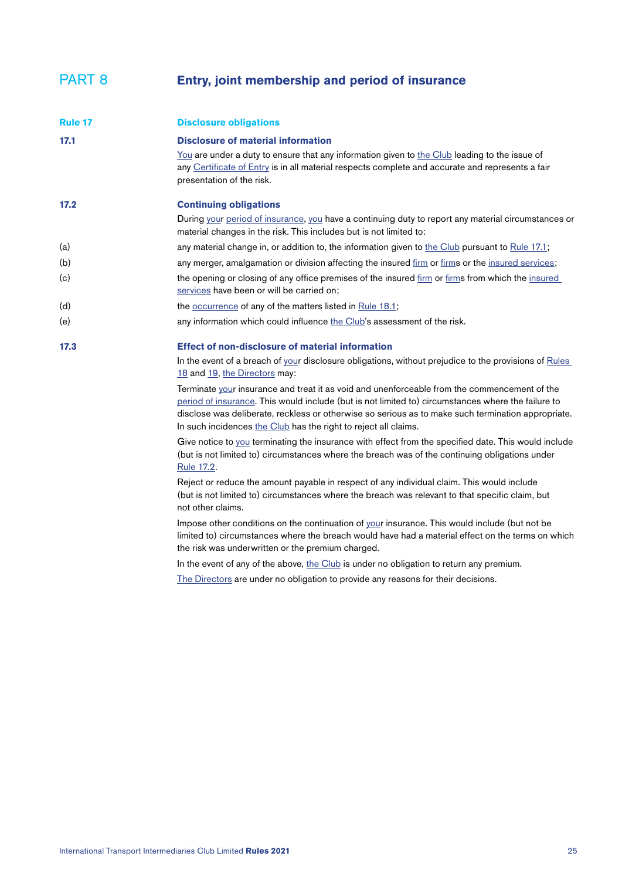#### <span id="page-24-1"></span>PART 8 **Entry, joint membership and period of insurance**

<span id="page-24-4"></span><span id="page-24-3"></span><span id="page-24-2"></span><span id="page-24-0"></span>

| Rule 17 | <b>Disclosure obligations</b>                                                                                                                                                                                                                                                                                                                                               |
|---------|-----------------------------------------------------------------------------------------------------------------------------------------------------------------------------------------------------------------------------------------------------------------------------------------------------------------------------------------------------------------------------|
| 17.1    | <b>Disclosure of material information</b><br>You are under a duty to ensure that any information given to the Club leading to the issue of<br>any Certificate of Entry is in all material respects complete and accurate and represents a fair<br>presentation of the risk.                                                                                                 |
| 17.2    | <b>Continuing obligations</b><br>During your period of insurance, you have a continuing duty to report any material circumstances or<br>material changes in the risk. This includes but is not limited to:                                                                                                                                                                  |
| (a)     | any material change in, or addition to, the information given to the Club pursuant to Rule 17.1;                                                                                                                                                                                                                                                                            |
| (b)     | any merger, amalgamation or division affecting the insured firm or firms or the insured services;                                                                                                                                                                                                                                                                           |
| (c)     | the opening or closing of any office premises of the insured firm or firms from which the insured<br>services have been or will be carried on;                                                                                                                                                                                                                              |
| (d)     | the occurrence of any of the matters listed in Rule 18.1;                                                                                                                                                                                                                                                                                                                   |
| (e)     | any information which could influence the Club's assessment of the risk.                                                                                                                                                                                                                                                                                                    |
| 17.3    | <b>Effect of non-disclosure of material information</b>                                                                                                                                                                                                                                                                                                                     |
|         | In the event of a breach of your disclosure obligations, without prejudice to the provisions of Rules<br>18 and 19, the Directors may:                                                                                                                                                                                                                                      |
|         | Terminate your insurance and treat it as void and unenforceable from the commencement of the<br>period of insurance. This would include (but is not limited to) circumstances where the failure to<br>disclose was deliberate, reckless or otherwise so serious as to make such termination appropriate.<br>In such incidences the Club has the right to reject all claims. |
|         | Give notice to you terminating the insurance with effect from the specified date. This would include<br>(but is not limited to) circumstances where the breach was of the continuing obligations under<br>Rule 17.2.                                                                                                                                                        |
|         | Reject or reduce the amount payable in respect of any individual claim. This would include<br>(but is not limited to) circumstances where the breach was relevant to that specific claim, but<br>not other claims.                                                                                                                                                          |
|         | Impose other conditions on the continuation of your insurance. This would include (but not be<br>limited to) circumstances where the breach would have had a material effect on the terms on which                                                                                                                                                                          |

In the event of any of the above, [the Club](#page-32-2) is under no obligation to return any premium.

T[he Directors](#page-33-3) are under no obligation to provide any reasons for their decisions.

the risk was underwritten or the premium charged.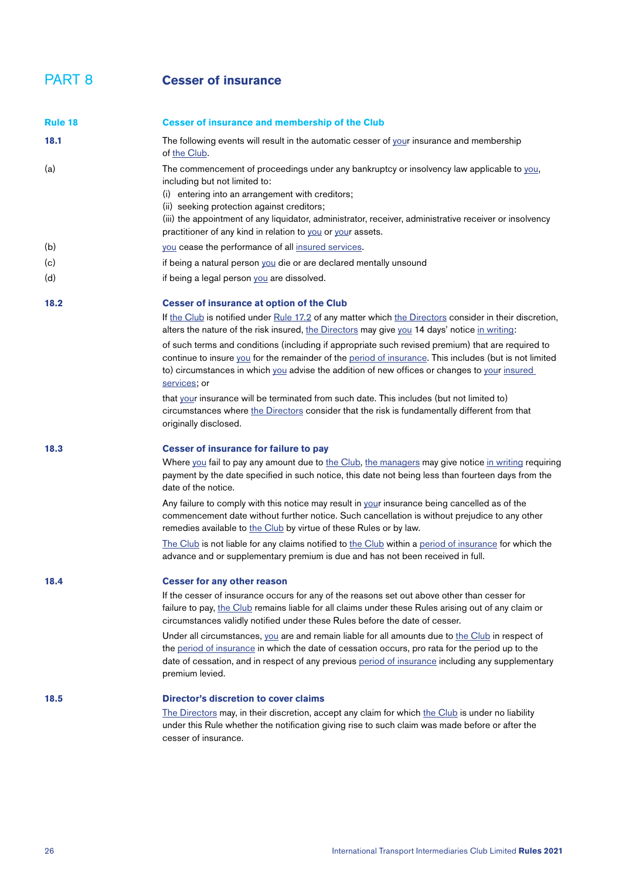#### <span id="page-25-1"></span>PART 8 **Cesser of insurance**

<span id="page-25-3"></span><span id="page-25-2"></span><span id="page-25-0"></span>

| <b>Rule 18</b> | <b>Cesser of insurance and membership of the Club</b>                                                                                                                                                                                                                                                                                                                                                  |
|----------------|--------------------------------------------------------------------------------------------------------------------------------------------------------------------------------------------------------------------------------------------------------------------------------------------------------------------------------------------------------------------------------------------------------|
| 18.1           | The following events will result in the automatic cesser of your insurance and membership<br>of the Club.                                                                                                                                                                                                                                                                                              |
| (a)            | The commencement of proceedings under any bankruptcy or insolvency law applicable to you,<br>including but not limited to:<br>(i) entering into an arrangement with creditors;<br>(ii) seeking protection against creditors;<br>(iii) the appointment of any liquidator, administrator, receiver, administrative receiver or insolvency<br>practitioner of any kind in relation to you or your assets. |
| (b)            | you cease the performance of all insured services.                                                                                                                                                                                                                                                                                                                                                     |
| (c)            | if being a natural person you die or are declared mentally unsound                                                                                                                                                                                                                                                                                                                                     |
| (d)            | if being a legal person you are dissolved.                                                                                                                                                                                                                                                                                                                                                             |
| 18.2           | <b>Cesser of insurance at option of the Club</b>                                                                                                                                                                                                                                                                                                                                                       |
|                | If the Club is notified under Rule 17.2 of any matter which the Directors consider in their discretion,<br>alters the nature of the risk insured, the Directors may give you 14 days' notice in writing:                                                                                                                                                                                               |
|                | of such terms and conditions (including if appropriate such revised premium) that are required to<br>continue to insure you for the remainder of the period of insurance. This includes (but is not limited<br>to) circumstances in which you advise the addition of new offices or changes to your insured<br>services; or                                                                            |
|                | that your insurance will be terminated from such date. This includes (but not limited to)<br>circumstances where the Directors consider that the risk is fundamentally different from that<br>originally disclosed.                                                                                                                                                                                    |
| 18.3           | <b>Cesser of insurance for failure to pay</b>                                                                                                                                                                                                                                                                                                                                                          |
|                | Where you fail to pay any amount due to the Club, the managers may give notice in writing requiring<br>payment by the date specified in such notice, this date not being less than fourteen days from the<br>date of the notice.                                                                                                                                                                       |
|                | Any failure to comply with this notice may result in your insurance being cancelled as of the<br>commencement date without further notice. Such cancellation is without prejudice to any other<br>remedies available to the Club by virtue of these Rules or by law.                                                                                                                                   |
|                | The Club is not liable for any claims notified to the Club within a period of insurance for which the<br>advance and or supplementary premium is due and has not been received in full.                                                                                                                                                                                                                |
| 18.4           | <b>Cesser for any other reason</b>                                                                                                                                                                                                                                                                                                                                                                     |
|                | If the cesser of insurance occurs for any of the reasons set out above other than cesser for<br>failure to pay, the Club remains liable for all claims under these Rules arising out of any claim or<br>circumstances validly notified under these Rules before the date of cesser.                                                                                                                    |
|                | Under all circumstances, you are and remain liable for all amounts due to the Club in respect of<br>the period of insurance in which the date of cessation occurs, pro rata for the period up to the<br>date of cessation, and in respect of any previous period of insurance including any supplementary<br>premium levied.                                                                           |
| 18.5           | <b>Director's discretion to cover claims</b>                                                                                                                                                                                                                                                                                                                                                           |
|                | The Directors may, in their discretion, accept any claim for which the Club is under no liability<br>under this Rule whether the notification giving rise to such claim was made before or after the<br>cesser of insurance.                                                                                                                                                                           |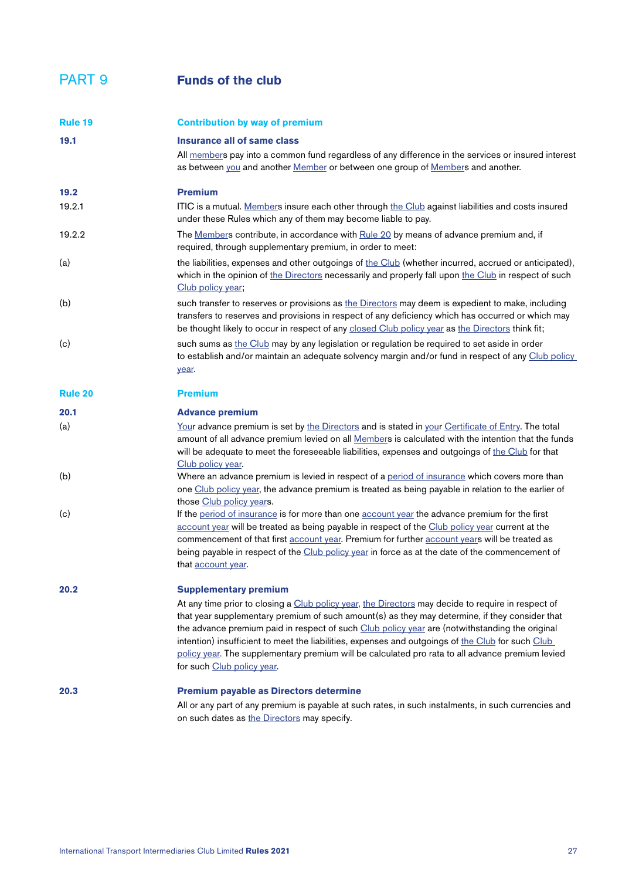#### PART 9 **Funds of the club**

<span id="page-26-2"></span><span id="page-26-1"></span><span id="page-26-0"></span>

| Rule 19        | <b>Contribution by way of premium</b>                                                                                                                                                                                                                                                                                                                                                                                                                                                                                                           |
|----------------|-------------------------------------------------------------------------------------------------------------------------------------------------------------------------------------------------------------------------------------------------------------------------------------------------------------------------------------------------------------------------------------------------------------------------------------------------------------------------------------------------------------------------------------------------|
| 19.1           | Insurance all of same class                                                                                                                                                                                                                                                                                                                                                                                                                                                                                                                     |
|                | All members pay into a common fund regardless of any difference in the services or insured interest<br>as between you and another Member or between one group of Members and another.                                                                                                                                                                                                                                                                                                                                                           |
| 19.2           | <b>Premium</b>                                                                                                                                                                                                                                                                                                                                                                                                                                                                                                                                  |
| 19.2.1         | ITIC is a mutual. Members insure each other through the Club against liabilities and costs insured<br>under these Rules which any of them may become liable to pay.                                                                                                                                                                                                                                                                                                                                                                             |
| 19.2.2         | The Members contribute, in accordance with Rule 20 by means of advance premium and, if<br>required, through supplementary premium, in order to meet:                                                                                                                                                                                                                                                                                                                                                                                            |
| (a)            | the liabilities, expenses and other outgoings of the Club (whether incurred, accrued or anticipated),<br>which in the opinion of the Directors necessarily and properly fall upon the Club in respect of such<br>Club policy year;                                                                                                                                                                                                                                                                                                              |
| (b)            | such transfer to reserves or provisions as the Directors may deem is expedient to make, including<br>transfers to reserves and provisions in respect of any deficiency which has occurred or which may<br>be thought likely to occur in respect of any closed Club policy year as the Directors think fit;                                                                                                                                                                                                                                      |
| (c)            | such sums as the Club may by any legislation or regulation be required to set aside in order<br>to establish and/or maintain an adequate solvency margin and/or fund in respect of any Club policy<br>year.                                                                                                                                                                                                                                                                                                                                     |
| <b>Rule 20</b> | <b>Premium</b>                                                                                                                                                                                                                                                                                                                                                                                                                                                                                                                                  |
| 20.1           | <b>Advance premium</b>                                                                                                                                                                                                                                                                                                                                                                                                                                                                                                                          |
| (a)            | Your advance premium is set by the Directors and is stated in your Certificate of Entry. The total<br>amount of all advance premium levied on all Members is calculated with the intention that the funds<br>will be adequate to meet the foreseeable liabilities, expenses and outgoings of the Club for that<br>Club policy year.                                                                                                                                                                                                             |
| (b)            | Where an advance premium is levied in respect of a period of insurance which covers more than<br>one Club policy year, the advance premium is treated as being payable in relation to the earlier of<br>those Club policy years.                                                                                                                                                                                                                                                                                                                |
| (c)            | If the period of insurance is for more than one account year the advance premium for the first<br>account year will be treated as being payable in respect of the Club policy year current at the<br>commencement of that first account year. Premium for further account years will be treated as<br>being payable in respect of the Club policy year in force as at the date of the commencement of<br>that account year.                                                                                                                     |
| 20.2           | <b>Supplementary premium</b><br>At any time prior to closing a Club policy year, the Directors may decide to require in respect of<br>that year supplementary premium of such amount(s) as they may determine, if they consider that<br>the advance premium paid in respect of such Club policy year are (notwithstanding the original<br>intention) insufficient to meet the liabilities, expenses and outgoings of the Club for such Club<br>policy year. The supplementary premium will be calculated pro rata to all advance premium levied |
| 20.3           | for such Club policy year.<br><b>Premium payable as Directors determine</b><br>All or any part of any premium is payable at such rates, in such instalments, in such currencies and<br>on such dates as the Directors may specify.                                                                                                                                                                                                                                                                                                              |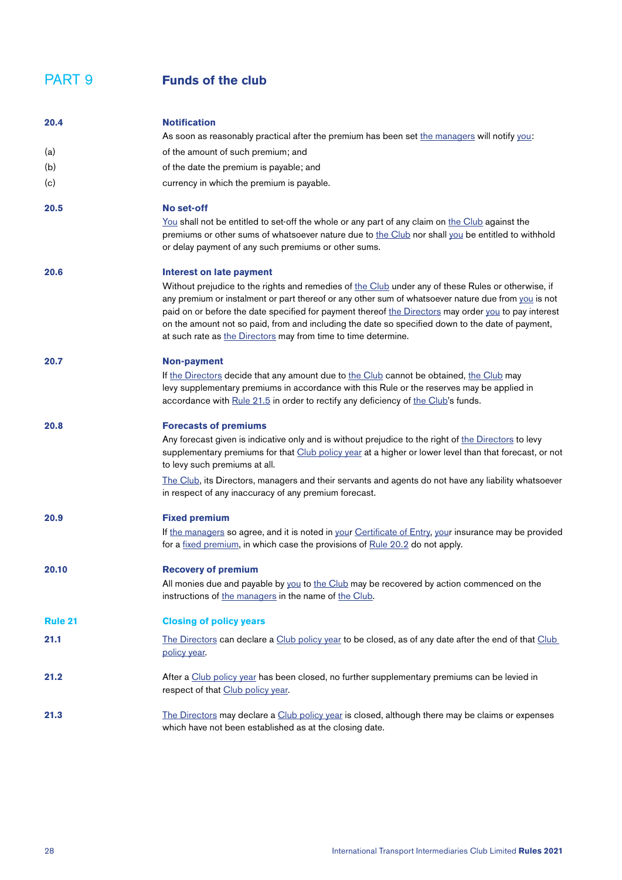#### PART 9 **Funds of the club**

<span id="page-27-1"></span><span id="page-27-0"></span>

| 20.4           | <b>Notification</b>                                                                                                                                                                                                                                                                                                                                                                                                                                                                     |
|----------------|-----------------------------------------------------------------------------------------------------------------------------------------------------------------------------------------------------------------------------------------------------------------------------------------------------------------------------------------------------------------------------------------------------------------------------------------------------------------------------------------|
|                | As soon as reasonably practical after the premium has been set the managers will notify you:                                                                                                                                                                                                                                                                                                                                                                                            |
| (a)            | of the amount of such premium; and                                                                                                                                                                                                                                                                                                                                                                                                                                                      |
| (b)            | of the date the premium is payable; and                                                                                                                                                                                                                                                                                                                                                                                                                                                 |
| (c)            | currency in which the premium is payable.                                                                                                                                                                                                                                                                                                                                                                                                                                               |
| 20.5           | No set-off                                                                                                                                                                                                                                                                                                                                                                                                                                                                              |
|                | You shall not be entitled to set-off the whole or any part of any claim on the Club against the<br>premiums or other sums of whatsoever nature due to the Club nor shall you be entitled to withhold<br>or delay payment of any such premiums or other sums.                                                                                                                                                                                                                            |
| 20.6           | <b>Interest on late payment</b>                                                                                                                                                                                                                                                                                                                                                                                                                                                         |
|                | Without prejudice to the rights and remedies of the Club under any of these Rules or otherwise, if<br>any premium or instalment or part thereof or any other sum of whatsoever nature due from you is not<br>paid on or before the date specified for payment thereof the Directors may order you to pay interest<br>on the amount not so paid, from and including the date so specified down to the date of payment,<br>at such rate as the Directors may from time to time determine. |
| 20.7           | <b>Non-payment</b>                                                                                                                                                                                                                                                                                                                                                                                                                                                                      |
|                | If the Directors decide that any amount due to the Club cannot be obtained, the Club may<br>levy supplementary premiums in accordance with this Rule or the reserves may be applied in<br>accordance with Rule 21.5 in order to rectify any deficiency of the Club's funds.                                                                                                                                                                                                             |
| 20.8           | <b>Forecasts of premiums</b>                                                                                                                                                                                                                                                                                                                                                                                                                                                            |
|                | Any forecast given is indicative only and is without prejudice to the right of the Directors to levy<br>supplementary premiums for that Club policy year at a higher or lower level than that forecast, or not<br>to levy such premiums at all.                                                                                                                                                                                                                                         |
|                | The Club, its Directors, managers and their servants and agents do not have any liability whatsoever<br>in respect of any inaccuracy of any premium forecast.                                                                                                                                                                                                                                                                                                                           |
| 20.9           | <b>Fixed premium</b>                                                                                                                                                                                                                                                                                                                                                                                                                                                                    |
|                | If the managers so agree, and it is noted in your Certificate of Entry, your insurance may be provided<br>for a fixed premium, in which case the provisions of Rule 20.2 do not apply.                                                                                                                                                                                                                                                                                                  |
| 20.10          | <b>Recovery of premium</b>                                                                                                                                                                                                                                                                                                                                                                                                                                                              |
|                | All monies due and payable by you to the Club may be recovered by action commenced on the<br>instructions of the managers in the name of the Club.                                                                                                                                                                                                                                                                                                                                      |
| <b>Rule 21</b> | <b>Closing of policy years</b>                                                                                                                                                                                                                                                                                                                                                                                                                                                          |
| 21.1           | The Directors can declare a Club policy year to be closed, as of any date after the end of that Club<br>policy year.                                                                                                                                                                                                                                                                                                                                                                    |
| 21.2           | After a Club policy year has been closed, no further supplementary premiums can be levied in<br>respect of that Club policy year.                                                                                                                                                                                                                                                                                                                                                       |
| 21.3           | The Directors may declare a Club policy year is closed, although there may be claims or expenses<br>which have not been established as at the closing date.                                                                                                                                                                                                                                                                                                                             |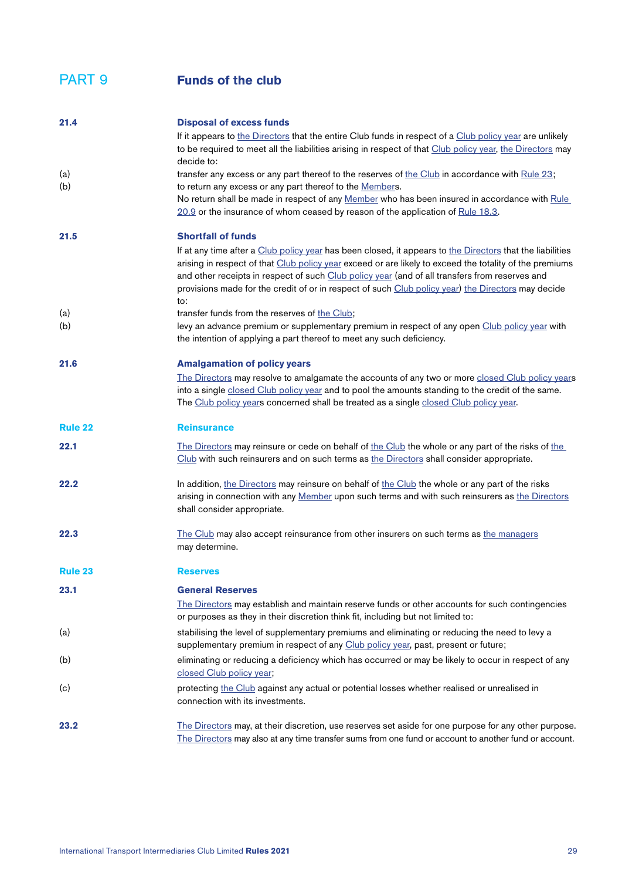<span id="page-28-2"></span><span id="page-28-1"></span><span id="page-28-0"></span>

| 21.4           | <b>Disposal of excess funds</b>                                                                                                                                                                                                                                                                                                                                                                                                     |
|----------------|-------------------------------------------------------------------------------------------------------------------------------------------------------------------------------------------------------------------------------------------------------------------------------------------------------------------------------------------------------------------------------------------------------------------------------------|
|                | If it appears to the Directors that the entire Club funds in respect of a Club policy year are unlikely<br>to be required to meet all the liabilities arising in respect of that Club policy year, the Directors may                                                                                                                                                                                                                |
| (a)            | decide to:<br>transfer any excess or any part thereof to the reserves of the Club in accordance with Rule 23;<br>to return any excess or any part thereof to the Members.                                                                                                                                                                                                                                                           |
| (b)            | No return shall be made in respect of any Member who has been insured in accordance with Rule<br>20.9 or the insurance of whom ceased by reason of the application of Rule 18.3.                                                                                                                                                                                                                                                    |
| 21.5           | <b>Shortfall of funds</b>                                                                                                                                                                                                                                                                                                                                                                                                           |
|                | If at any time after a Club policy year has been closed, it appears to the Directors that the liabilities<br>arising in respect of that Club policy year exceed or are likely to exceed the totality of the premiums<br>and other receipts in respect of such Club policy year (and of all transfers from reserves and<br>provisions made for the credit of or in respect of such Club policy year) the Directors may decide<br>to: |
| (a)            | transfer funds from the reserves of the Club;                                                                                                                                                                                                                                                                                                                                                                                       |
| (b)            | levy an advance premium or supplementary premium in respect of any open Club policy year with<br>the intention of applying a part thereof to meet any such deficiency.                                                                                                                                                                                                                                                              |
| 21.6           | <b>Amalgamation of policy years</b>                                                                                                                                                                                                                                                                                                                                                                                                 |
|                | The Directors may resolve to amalgamate the accounts of any two or more closed Club policy years<br>into a single closed Club policy year and to pool the amounts standing to the credit of the same.<br>The Club policy years concerned shall be treated as a single closed Club policy year.                                                                                                                                      |
| <b>Rule 22</b> | <b>Reinsurance</b>                                                                                                                                                                                                                                                                                                                                                                                                                  |
| 22.1           | The Directors may reinsure or cede on behalf of the Club the whole or any part of the risks of the<br>Club with such reinsurers and on such terms as the Directors shall consider appropriate.                                                                                                                                                                                                                                      |
| 22.2           | In addition, the Directors may reinsure on behalf of the Club the whole or any part of the risks<br>arising in connection with any Member upon such terms and with such reinsurers as the Directors<br>shall consider appropriate.                                                                                                                                                                                                  |
| 22.3           | The Club may also accept reinsurance from other insurers on such terms as the managers<br>may determine.                                                                                                                                                                                                                                                                                                                            |
| <b>Rule 23</b> | <b>Reserves</b>                                                                                                                                                                                                                                                                                                                                                                                                                     |
| 23.1           | <b>General Reserves</b>                                                                                                                                                                                                                                                                                                                                                                                                             |
|                | The Directors may establish and maintain reserve funds or other accounts for such contingencies<br>or purposes as they in their discretion think fit, including but not limited to:                                                                                                                                                                                                                                                 |
| (a)            | stabilising the level of supplementary premiums and eliminating or reducing the need to levy a<br>supplementary premium in respect of any Club policy year, past, present or future;                                                                                                                                                                                                                                                |
| (b)            | eliminating or reducing a deficiency which has occurred or may be likely to occur in respect of any<br>closed Club policy year;                                                                                                                                                                                                                                                                                                     |
| (c)            | protecting the Club against any actual or potential losses whether realised or unrealised in<br>connection with its investments.                                                                                                                                                                                                                                                                                                    |
| 23.2           | The Directors may, at their discretion, use reserves set aside for one purpose for any other purpose.<br>The Directors may also at any time transfer sums from one fund or account to another fund or account.                                                                                                                                                                                                                      |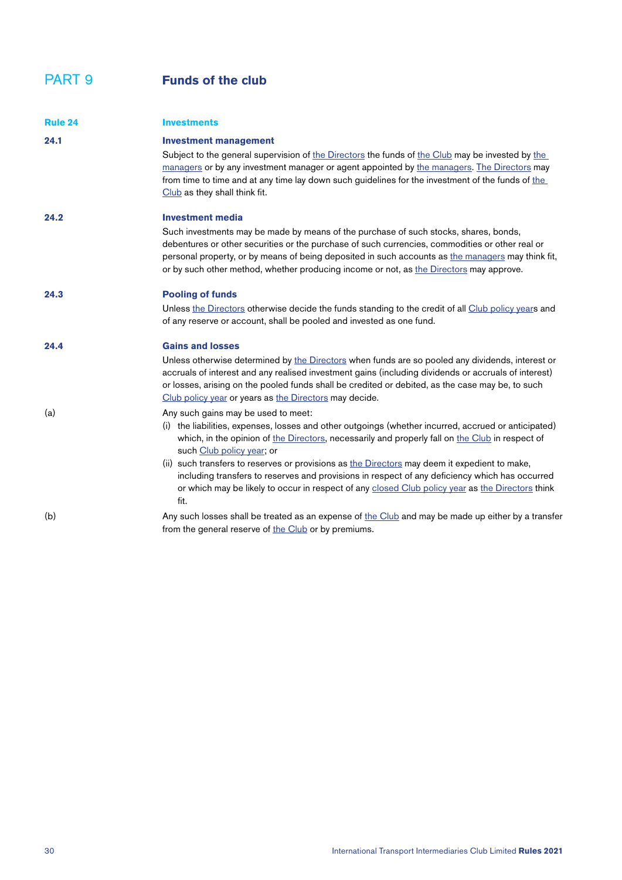<span id="page-29-0"></span>

| <b>Rule 24</b> | <b>Investments</b>                                                                                                                                                                                                                                                                                                                                                                                                                                                                                                                                                                         |
|----------------|--------------------------------------------------------------------------------------------------------------------------------------------------------------------------------------------------------------------------------------------------------------------------------------------------------------------------------------------------------------------------------------------------------------------------------------------------------------------------------------------------------------------------------------------------------------------------------------------|
| 24.1           | <b>Investment management</b><br>Subject to the general supervision of the Directors the funds of the Club may be invested by the<br>managers or by any investment manager or agent appointed by the managers. The Directors may<br>from time to time and at any time lay down such guidelines for the investment of the funds of the<br>Club as they shall think fit.                                                                                                                                                                                                                      |
| 24.2           | <b>Investment media</b><br>Such investments may be made by means of the purchase of such stocks, shares, bonds,<br>debentures or other securities or the purchase of such currencies, commodities or other real or<br>personal property, or by means of being deposited in such accounts as the managers may think fit,<br>or by such other method, whether producing income or not, as the Directors may approve.                                                                                                                                                                         |
| 24.3           | <b>Pooling of funds</b><br>Unless the Directors otherwise decide the funds standing to the credit of all Club policy years and<br>of any reserve or account, shall be pooled and invested as one fund.                                                                                                                                                                                                                                                                                                                                                                                     |
| 24.4           | <b>Gains and losses</b><br>Unless otherwise determined by the Directors when funds are so pooled any dividends, interest or<br>accruals of interest and any realised investment gains (including dividends or accruals of interest)<br>or losses, arising on the pooled funds shall be credited or debited, as the case may be, to such<br>Club policy year or years as the Directors may decide.                                                                                                                                                                                          |
| (a)            | Any such gains may be used to meet:<br>(i) the liabilities, expenses, losses and other outgoings (whether incurred, accrued or anticipated)<br>which, in the opinion of the Directors, necessarily and properly fall on the Club in respect of<br>such Club policy year; or<br>(ii) such transfers to reserves or provisions as the Directors may deem it expedient to make,<br>including transfers to reserves and provisions in respect of any deficiency which has occurred<br>or which may be likely to occur in respect of any closed Club policy year as the Directors think<br>fit. |
| (b)            | Any such losses shall be treated as an expense of the Club and may be made up either by a transfer<br>from the general reserve of the Club or by premiums.                                                                                                                                                                                                                                                                                                                                                                                                                                 |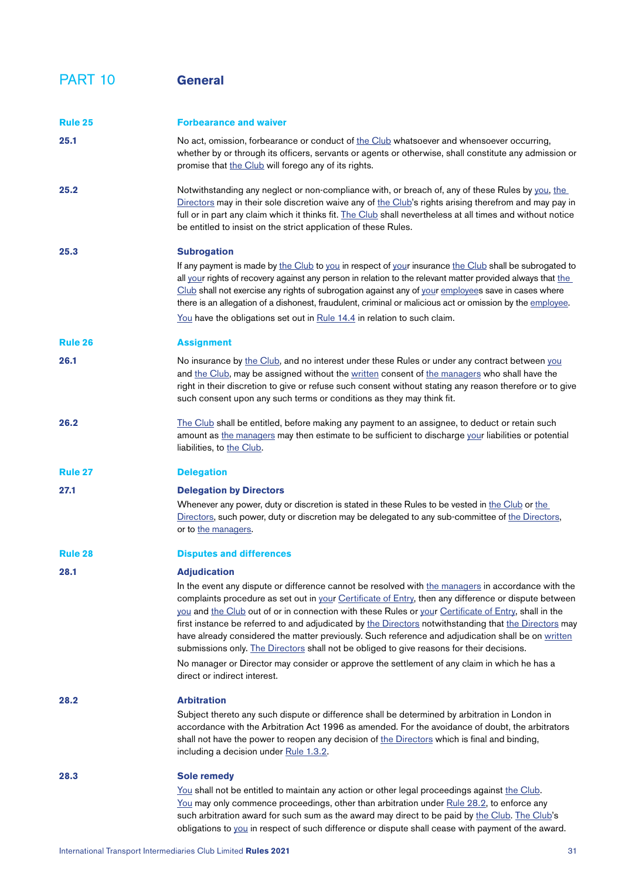## <span id="page-30-0"></span>PART 10 **General**

<span id="page-30-5"></span><span id="page-30-4"></span><span id="page-30-3"></span><span id="page-30-2"></span><span id="page-30-1"></span>

| <b>Rule 25</b> | <b>Forbearance and waiver</b>                                                                                                                                                                                                                                                                                                                                                                                                                                                                                                                                                                                                                                                                                                                                  |
|----------------|----------------------------------------------------------------------------------------------------------------------------------------------------------------------------------------------------------------------------------------------------------------------------------------------------------------------------------------------------------------------------------------------------------------------------------------------------------------------------------------------------------------------------------------------------------------------------------------------------------------------------------------------------------------------------------------------------------------------------------------------------------------|
| 25.1           | No act, omission, forbearance or conduct of the Club whatsoever and whensoever occurring,<br>whether by or through its officers, servants or agents or otherwise, shall constitute any admission or<br>promise that the Club will forego any of its rights.                                                                                                                                                                                                                                                                                                                                                                                                                                                                                                    |
| 25.2           | Notwithstanding any neglect or non-compliance with, or breach of, any of these Rules by you, the<br>Directors may in their sole discretion waive any of the Club's rights arising therefrom and may pay in<br>full or in part any claim which it thinks fit. The Club shall nevertheless at all times and without notice<br>be entitled to insist on the strict application of these Rules.                                                                                                                                                                                                                                                                                                                                                                    |
| 25.3           | <b>Subrogation</b><br>If any payment is made by the Club to you in respect of your insurance the Club shall be subrogated to<br>all your rights of recovery against any person in relation to the relevant matter provided always that the<br>Club shall not exercise any rights of subrogation against any of your employees save in cases where<br>there is an allegation of a dishonest, fraudulent, criminal or malicious act or omission by the employee.                                                                                                                                                                                                                                                                                                 |
|                | You have the obligations set out in Rule 14.4 in relation to such claim.                                                                                                                                                                                                                                                                                                                                                                                                                                                                                                                                                                                                                                                                                       |
| <b>Rule 26</b> | <b>Assignment</b>                                                                                                                                                                                                                                                                                                                                                                                                                                                                                                                                                                                                                                                                                                                                              |
| 26.1           | No insurance by the Club, and no interest under these Rules or under any contract between you<br>and the Club, may be assigned without the written consent of the managers who shall have the<br>right in their discretion to give or refuse such consent without stating any reason therefore or to give<br>such consent upon any such terms or conditions as they may think fit.                                                                                                                                                                                                                                                                                                                                                                             |
| 26.2           | The Club shall be entitled, before making any payment to an assignee, to deduct or retain such<br>amount as the managers may then estimate to be sufficient to discharge your liabilities or potential<br>liabilities, to the Club.                                                                                                                                                                                                                                                                                                                                                                                                                                                                                                                            |
| <b>Rule 27</b> | <b>Delegation</b>                                                                                                                                                                                                                                                                                                                                                                                                                                                                                                                                                                                                                                                                                                                                              |
| 27.1           | <b>Delegation by Directors</b><br>Whenever any power, duty or discretion is stated in these Rules to be vested in the Club or the<br>Directors, such power, duty or discretion may be delegated to any sub-committee of the Directors,<br>or to the managers.                                                                                                                                                                                                                                                                                                                                                                                                                                                                                                  |
| <b>Rule 28</b> | <b>Disputes and differences</b>                                                                                                                                                                                                                                                                                                                                                                                                                                                                                                                                                                                                                                                                                                                                |
| 28.1           | <b>Adjudication</b>                                                                                                                                                                                                                                                                                                                                                                                                                                                                                                                                                                                                                                                                                                                                            |
|                | In the event any dispute or difference cannot be resolved with the managers in accordance with the<br>complaints procedure as set out in your Certificate of Entry, then any difference or dispute between<br>you and the Club out of or in connection with these Rules or your Certificate of Entry, shall in the<br>first instance be referred to and adjudicated by the Directors notwithstanding that the Directors may<br>have already considered the matter previously. Such reference and adjudication shall be on written<br>submissions only. The Directors shall not be obliged to give reasons for their decisions.<br>No manager or Director may consider or approve the settlement of any claim in which he has a<br>direct or indirect interest. |
|                |                                                                                                                                                                                                                                                                                                                                                                                                                                                                                                                                                                                                                                                                                                                                                                |
| 28.2           | <b>Arbitration</b><br>Subject thereto any such dispute or difference shall be determined by arbitration in London in<br>accordance with the Arbitration Act 1996 as amended. For the avoidance of doubt, the arbitrators<br>shall not have the power to reopen any decision of the Directors which is final and binding,<br>including a decision under Rule 1.3.2.                                                                                                                                                                                                                                                                                                                                                                                             |
| 28.3           | <b>Sole remedy</b><br>You shall not be entitled to maintain any action or other legal proceedings against the Club.<br>You may only commence proceedings, other than arbitration under Rule 28.2, to enforce any<br>such arbitration award for such sum as the award may direct to be paid by the Club. The Club's<br>obligations to you in respect of such difference or dispute shall cease with payment of the award.                                                                                                                                                                                                                                                                                                                                       |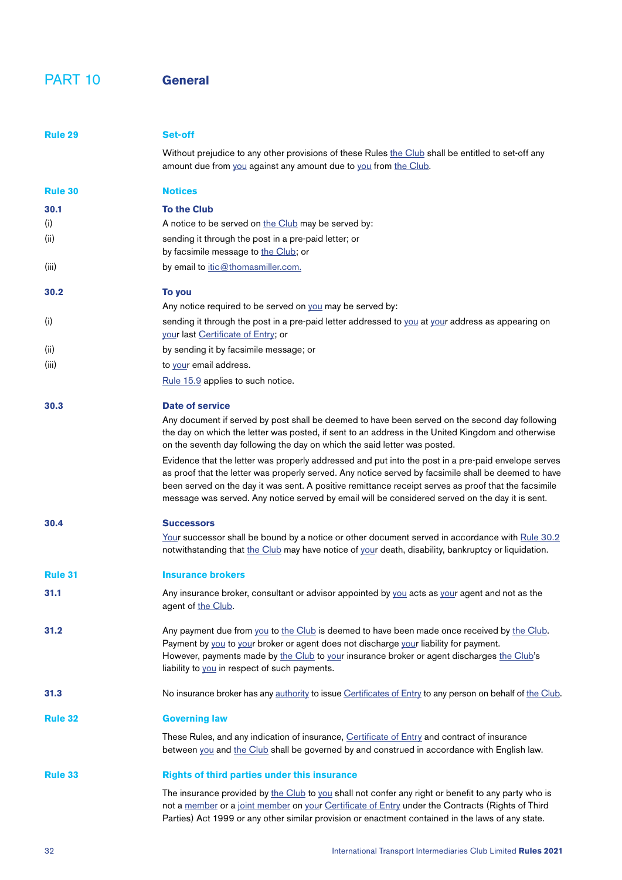#### <span id="page-31-5"></span>PART 10 **General**

<span id="page-31-6"></span><span id="page-31-4"></span><span id="page-31-3"></span><span id="page-31-2"></span><span id="page-31-1"></span><span id="page-31-0"></span>

| Rule 29        | Set-off                                                                                                                                                                                                                                                                                                                                                                                                                |
|----------------|------------------------------------------------------------------------------------------------------------------------------------------------------------------------------------------------------------------------------------------------------------------------------------------------------------------------------------------------------------------------------------------------------------------------|
|                | Without prejudice to any other provisions of these Rules the Club shall be entitled to set-off any<br>amount due from you against any amount due to you from the Club.                                                                                                                                                                                                                                                 |
| <b>Rule 30</b> | <b>Notices</b>                                                                                                                                                                                                                                                                                                                                                                                                         |
| 30.1           | <b>To the Club</b>                                                                                                                                                                                                                                                                                                                                                                                                     |
| (i)            | A notice to be served on the Club may be served by:                                                                                                                                                                                                                                                                                                                                                                    |
| (ii)           | sending it through the post in a pre-paid letter; or<br>by facsimile message to the Club; or                                                                                                                                                                                                                                                                                                                           |
| (iii)          | by email to itic@thomasmiller.com.                                                                                                                                                                                                                                                                                                                                                                                     |
| 30.2           | To you                                                                                                                                                                                                                                                                                                                                                                                                                 |
|                | Any notice required to be served on you may be served by:                                                                                                                                                                                                                                                                                                                                                              |
| (i)            | sending it through the post in a pre-paid letter addressed to you at your address as appearing on<br>your last Certificate of Entry; or                                                                                                                                                                                                                                                                                |
| (ii)           | by sending it by facsimile message; or                                                                                                                                                                                                                                                                                                                                                                                 |
| (iii)          | to your email address.                                                                                                                                                                                                                                                                                                                                                                                                 |
|                | Rule 15.9 applies to such notice.                                                                                                                                                                                                                                                                                                                                                                                      |
| 30.3           | Date of service                                                                                                                                                                                                                                                                                                                                                                                                        |
|                | Any document if served by post shall be deemed to have been served on the second day following<br>the day on which the letter was posted, if sent to an address in the United Kingdom and otherwise<br>on the seventh day following the day on which the said letter was posted.                                                                                                                                       |
|                | Evidence that the letter was properly addressed and put into the post in a pre-paid envelope serves<br>as proof that the letter was properly served. Any notice served by facsimile shall be deemed to have<br>been served on the day it was sent. A positive remittance receipt serves as proof that the facsimile<br>message was served. Any notice served by email will be considered served on the day it is sent. |
| 30.4           | <b>Successors</b>                                                                                                                                                                                                                                                                                                                                                                                                      |
|                | Your successor shall be bound by a notice or other document served in accordance with Rule 30.2<br>notwithstanding that the Club may have notice of your death, disability, bankruptcy or liquidation.                                                                                                                                                                                                                 |
| <b>Rule 31</b> | <b>Insurance brokers</b>                                                                                                                                                                                                                                                                                                                                                                                               |
| 31.1           | Any insurance broker, consultant or advisor appointed by you acts as your agent and not as the<br>agent of the Club.                                                                                                                                                                                                                                                                                                   |
| 31.2           | Any payment due from you to the Club is deemed to have been made once received by the Club.<br>Payment by you to your broker or agent does not discharge your liability for payment.<br>However, payments made by the Club to your insurance broker or agent discharges the Club's<br>liability to you in respect of such payments.                                                                                    |
| 31.3           | No insurance broker has any authority to issue Certificates of Entry to any person on behalf of the Club.                                                                                                                                                                                                                                                                                                              |
| <b>Rule 32</b> | <b>Governing law</b>                                                                                                                                                                                                                                                                                                                                                                                                   |
|                | These Rules, and any indication of insurance, Certificate of Entry and contract of insurance<br>between you and the Club shall be governed by and construed in accordance with English law.                                                                                                                                                                                                                            |
| <b>Rule 33</b> | <b>Rights of third parties under this insurance</b>                                                                                                                                                                                                                                                                                                                                                                    |
|                | The insurance provided by the Club to you shall not confer any right or benefit to any party who is<br>not a member or a joint member on your Certificate of Entry under the Contracts (Rights of Third<br>Parties) Act 1999 or any other similar provision or enactment contained in the laws of any state.                                                                                                           |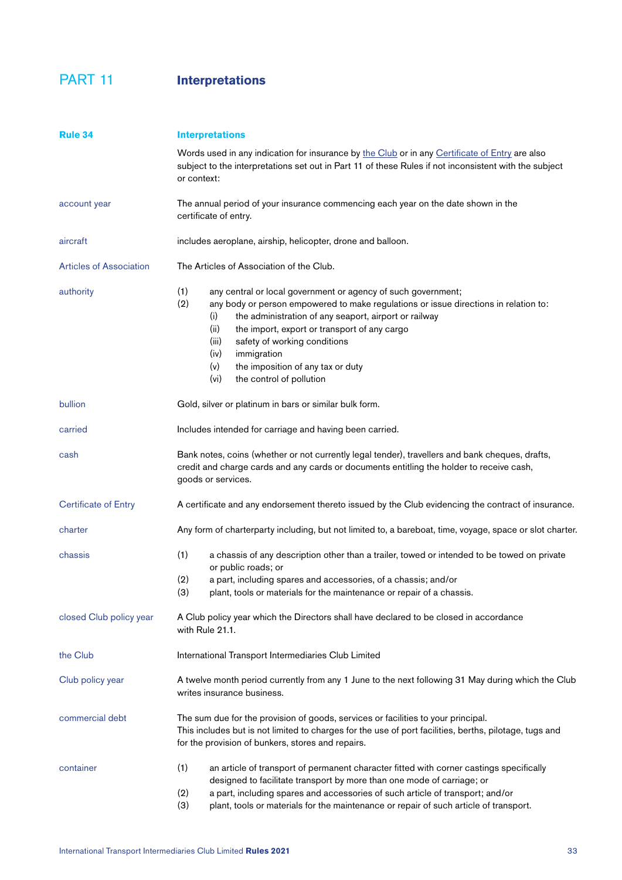# PART 11 **Interpretations**

<span id="page-32-13"></span><span id="page-32-12"></span><span id="page-32-11"></span><span id="page-32-10"></span><span id="page-32-9"></span><span id="page-32-8"></span><span id="page-32-7"></span><span id="page-32-6"></span><span id="page-32-5"></span><span id="page-32-4"></span><span id="page-32-3"></span><span id="page-32-2"></span><span id="page-32-1"></span><span id="page-32-0"></span>

| <b>Rule 34</b>                 | <b>Interpretations</b>                                                                                                                                                                                                                                                                                                                                                                                                                                   |
|--------------------------------|----------------------------------------------------------------------------------------------------------------------------------------------------------------------------------------------------------------------------------------------------------------------------------------------------------------------------------------------------------------------------------------------------------------------------------------------------------|
|                                | Words used in any indication for insurance by the Club or in any Certificate of Entry are also<br>subject to the interpretations set out in Part 11 of these Rules if not inconsistent with the subject<br>or context:                                                                                                                                                                                                                                   |
| account year                   | The annual period of your insurance commencing each year on the date shown in the<br>certificate of entry.                                                                                                                                                                                                                                                                                                                                               |
| aircraft                       | includes aeroplane, airship, helicopter, drone and balloon.                                                                                                                                                                                                                                                                                                                                                                                              |
| <b>Articles of Association</b> | The Articles of Association of the Club.                                                                                                                                                                                                                                                                                                                                                                                                                 |
| authority                      | (1)<br>any central or local government or agency of such government;<br>(2)<br>any body or person empowered to make regulations or issue directions in relation to:<br>the administration of any seaport, airport or railway<br>(i)<br>the import, export or transport of any cargo<br>(ii)<br>safety of working conditions<br>(iii)<br>(iv)<br>immigration<br>(v)<br>the imposition of any tax or duty<br>(v <sub>i</sub> )<br>the control of pollution |
| bullion                        | Gold, silver or platinum in bars or similar bulk form.                                                                                                                                                                                                                                                                                                                                                                                                   |
| carried                        | Includes intended for carriage and having been carried.                                                                                                                                                                                                                                                                                                                                                                                                  |
| cash                           | Bank notes, coins (whether or not currently legal tender), travellers and bank cheques, drafts,<br>credit and charge cards and any cards or documents entitling the holder to receive cash,<br>goods or services.                                                                                                                                                                                                                                        |
| <b>Certificate of Entry</b>    | A certificate and any endorsement thereto issued by the Club evidencing the contract of insurance.                                                                                                                                                                                                                                                                                                                                                       |
| charter                        | Any form of charterparty including, but not limited to, a bareboat, time, voyage, space or slot charter.                                                                                                                                                                                                                                                                                                                                                 |
| chassis                        | (1)<br>a chassis of any description other than a trailer, towed or intended to be towed on private<br>or public roads; or<br>(2)<br>a part, including spares and accessories, of a chassis; and/or<br>(3)<br>plant, tools or materials for the maintenance or repair of a chassis.                                                                                                                                                                       |
| closed Club policy year        | A Club policy year which the Directors shall have declared to be closed in accordance<br>with Rule 21.1.                                                                                                                                                                                                                                                                                                                                                 |
| the Club                       | International Transport Intermediaries Club Limited                                                                                                                                                                                                                                                                                                                                                                                                      |
| Club policy year               | A twelve month period currently from any 1 June to the next following 31 May during which the Club<br>writes insurance business.                                                                                                                                                                                                                                                                                                                         |
| commercial debt                | The sum due for the provision of goods, services or facilities to your principal.<br>This includes but is not limited to charges for the use of port facilities, berths, pilotage, tugs and<br>for the provision of bunkers, stores and repairs.                                                                                                                                                                                                         |
| container                      | (1)<br>an article of transport of permanent character fitted with corner castings specifically<br>designed to facilitate transport by more than one mode of carriage; or<br>a part, including spares and accessories of such article of transport; and/or<br>(2)<br>(3)<br>plant, tools or materials for the maintenance or repair of such article of transport.                                                                                         |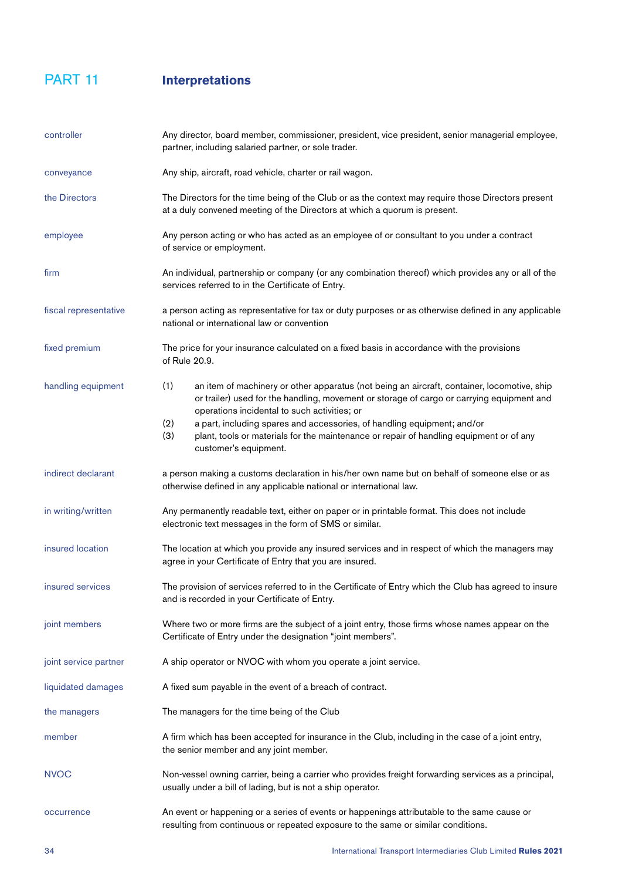#### PART 11 **Interpretations**

<span id="page-33-16"></span><span id="page-33-15"></span><span id="page-33-14"></span><span id="page-33-13"></span><span id="page-33-12"></span><span id="page-33-11"></span><span id="page-33-10"></span><span id="page-33-9"></span><span id="page-33-8"></span><span id="page-33-7"></span><span id="page-33-6"></span><span id="page-33-5"></span><span id="page-33-4"></span><span id="page-33-3"></span><span id="page-33-2"></span><span id="page-33-1"></span><span id="page-33-0"></span>

| controller            | Any director, board member, commissioner, president, vice president, senior managerial employee,<br>partner, including salaried partner, or sole trader.                                                                                        |
|-----------------------|-------------------------------------------------------------------------------------------------------------------------------------------------------------------------------------------------------------------------------------------------|
| conveyance            | Any ship, aircraft, road vehicle, charter or rail wagon.                                                                                                                                                                                        |
| the Directors         | The Directors for the time being of the Club or as the context may require those Directors present<br>at a duly convened meeting of the Directors at which a quorum is present.                                                                 |
| employee              | Any person acting or who has acted as an employee of or consultant to you under a contract<br>of service or employment.                                                                                                                         |
| firm                  | An individual, partnership or company (or any combination thereof) which provides any or all of the<br>services referred to in the Certificate of Entry.                                                                                        |
| fiscal representative | a person acting as representative for tax or duty purposes or as otherwise defined in any applicable<br>national or international law or convention                                                                                             |
| fixed premium         | The price for your insurance calculated on a fixed basis in accordance with the provisions<br>of Rule 20.9.                                                                                                                                     |
| handling equipment    | (1)<br>an item of machinery or other apparatus (not being an aircraft, container, locomotive, ship<br>or trailer) used for the handling, movement or storage of cargo or carrying equipment and<br>operations incidental to such activities; or |
|                       | a part, including spares and accessories, of handling equipment; and/or<br>(2)<br>(3)<br>plant, tools or materials for the maintenance or repair of handling equipment or of any<br>customer's equipment.                                       |
| indirect declarant    | a person making a customs declaration in his/her own name but on behalf of someone else or as<br>otherwise defined in any applicable national or international law.                                                                             |
| in writing/written    | Any permanently readable text, either on paper or in printable format. This does not include<br>electronic text messages in the form of SMS or similar.                                                                                         |
| insured location      | The location at which you provide any insured services and in respect of which the managers may<br>agree in your Certificate of Entry that you are insured.                                                                                     |
| insured services      | The provision of services referred to in the Certificate of Entry which the Club has agreed to insure<br>and is recorded in your Certificate of Entry.                                                                                          |
| joint members         | Where two or more firms are the subject of a joint entry, those firms whose names appear on the<br>Certificate of Entry under the designation "joint members".                                                                                  |
| joint service partner | A ship operator or NVOC with whom you operate a joint service.                                                                                                                                                                                  |
| liquidated damages    | A fixed sum payable in the event of a breach of contract.                                                                                                                                                                                       |
| the managers          | The managers for the time being of the Club                                                                                                                                                                                                     |
| member                | A firm which has been accepted for insurance in the Club, including in the case of a joint entry,<br>the senior member and any joint member.                                                                                                    |
| <b>NVOC</b>           | Non-vessel owning carrier, being a carrier who provides freight forwarding services as a principal,<br>usually under a bill of lading, but is not a ship operator.                                                                              |
| occurrence            | An event or happening or a series of events or happenings attributable to the same cause or<br>resulting from continuous or repeated exposure to the same or similar conditions.                                                                |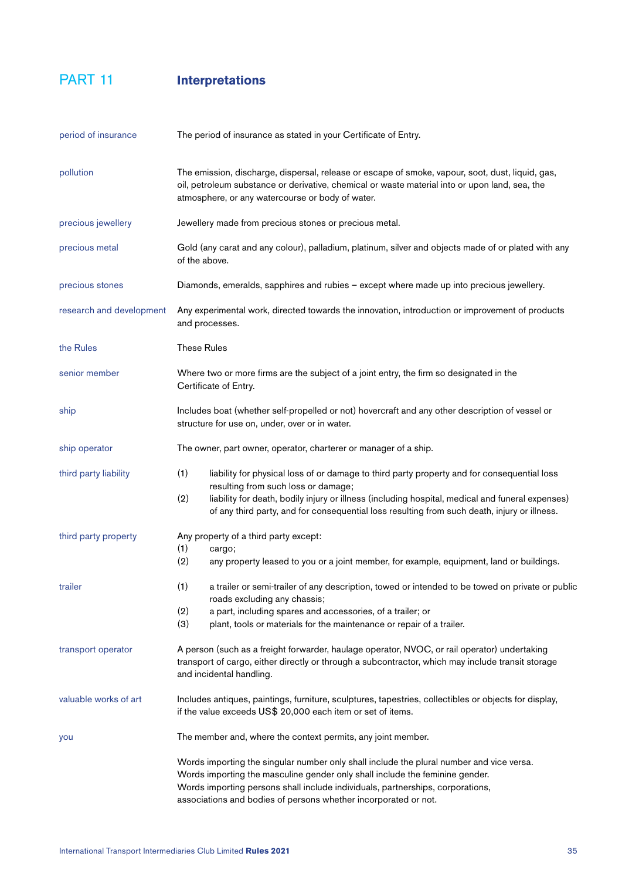PART 11 **Interpretations**

<span id="page-34-13"></span><span id="page-34-12"></span><span id="page-34-11"></span><span id="page-34-10"></span><span id="page-34-9"></span><span id="page-34-8"></span><span id="page-34-7"></span><span id="page-34-6"></span><span id="page-34-5"></span><span id="page-34-4"></span><span id="page-34-3"></span><span id="page-34-2"></span><span id="page-34-1"></span><span id="page-34-0"></span>

| period of insurance      | The period of insurance as stated in your Certificate of Entry.                                                                                                                                                                                                                                                                                      |
|--------------------------|------------------------------------------------------------------------------------------------------------------------------------------------------------------------------------------------------------------------------------------------------------------------------------------------------------------------------------------------------|
| pollution                | The emission, discharge, dispersal, release or escape of smoke, vapour, soot, dust, liquid, gas,<br>oil, petroleum substance or derivative, chemical or waste material into or upon land, sea, the<br>atmosphere, or any watercourse or body of water.                                                                                               |
| precious jewellery       | Jewellery made from precious stones or precious metal.                                                                                                                                                                                                                                                                                               |
| precious metal           | Gold (any carat and any colour), palladium, platinum, silver and objects made of or plated with any<br>of the above.                                                                                                                                                                                                                                 |
| precious stones          | Diamonds, emeralds, sapphires and rubies - except where made up into precious jewellery.                                                                                                                                                                                                                                                             |
| research and development | Any experimental work, directed towards the innovation, introduction or improvement of products<br>and processes.                                                                                                                                                                                                                                    |
| the Rules                | <b>These Rules</b>                                                                                                                                                                                                                                                                                                                                   |
| senior member            | Where two or more firms are the subject of a joint entry, the firm so designated in the<br>Certificate of Entry.                                                                                                                                                                                                                                     |
| ship                     | Includes boat (whether self-propelled or not) hovercraft and any other description of vessel or<br>structure for use on, under, over or in water.                                                                                                                                                                                                    |
| ship operator            | The owner, part owner, operator, charterer or manager of a ship.                                                                                                                                                                                                                                                                                     |
| third party liability    | (1)<br>liability for physical loss of or damage to third party property and for consequential loss<br>resulting from such loss or damage;<br>(2)<br>liability for death, bodily injury or illness (including hospital, medical and funeral expenses)<br>of any third party, and for consequential loss resulting from such death, injury or illness. |
| third party property     | Any property of a third party except:<br>(1)<br>cargo;<br>(2)<br>any property leased to you or a joint member, for example, equipment, land or buildings.                                                                                                                                                                                            |
| trailer                  | (1)<br>a trailer or semi-trailer of any description, towed or intended to be towed on private or public<br>roads excluding any chassis;<br>(2)<br>a part, including spares and accessories, of a trailer; or<br>(3)<br>plant, tools or materials for the maintenance or repair of a trailer.                                                         |
| transport operator       | A person (such as a freight forwarder, haulage operator, NVOC, or rail operator) undertaking<br>transport of cargo, either directly or through a subcontractor, which may include transit storage<br>and incidental handling.                                                                                                                        |
| valuable works of art    | Includes antiques, paintings, furniture, sculptures, tapestries, collectibles or objects for display,<br>if the value exceeds US\$ 20,000 each item or set of items.                                                                                                                                                                                 |
| you                      | The member and, where the context permits, any joint member.                                                                                                                                                                                                                                                                                         |
|                          | Words importing the singular number only shall include the plural number and vice versa.<br>Words importing the masculine gender only shall include the feminine gender.<br>Words importing persons shall include individuals, partnerships, corporations,<br>associations and bodies of persons whether incorporated or not.                        |